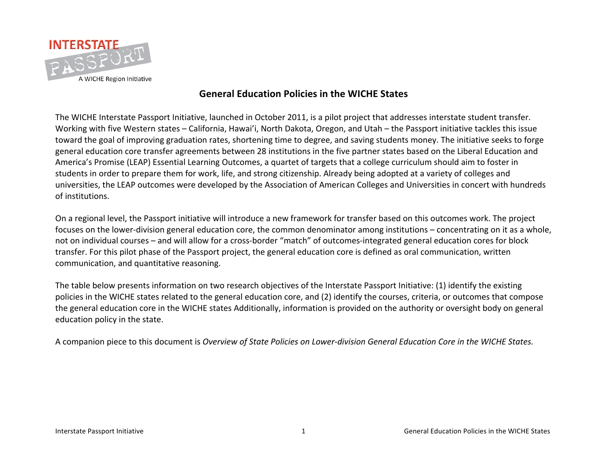

### **General!Education!Policies!in!the!WICHE!States**

The WICHE Interstate Passport Initiative, launched in October 2011, is a pilot project that addresses interstate student transfer. Working with five Western states - California, Hawai'i, North Dakota, Oregon, and Utah - the Passport initiative tackles this issue toward the goal of improving graduation rates, shortening time to degree, and saving students money. The initiative seeks to forge general education core transfer agreements between 28 institutions in the five partner states based on the Liberal Education and America's Promise (LEAP) Essential Learning Outcomes, a quartet of targets that a college curriculum should aim to foster in students in order to prepare them for work, life, and strong citizenship. Already being adopted at a variety of colleges and universities, the LEAP outcomes were developed by the Association of American Colleges and Universities in concert with hundreds of institutions.

On a regional level, the Passport initiative will introduce a new framework for transfer based on this outcomes work. The project focuses on the lower-division general education core, the common denominator among institutions – concentrating on it as a whole, not on individual courses – and will allow for a cross-border "match" of outcomes-integrated general education cores for block transfer. For this pilot phase of the Passport project, the general education core is defined as oral communication, written communication, and quantitative reasoning.

The table below presents information on two research objectives of the Interstate Passport Initiative: (1) identify the existing policies in the WICHE states related to the general education core, and (2) identify the courses, criteria, or outcomes that compose the general education core in the WICHE states Additionally, information is provided on the authority or oversight body on general education policy in the state.

A companion piece to this document is *Overview of State Policies on Lower-division General Education Core in the WICHE States.*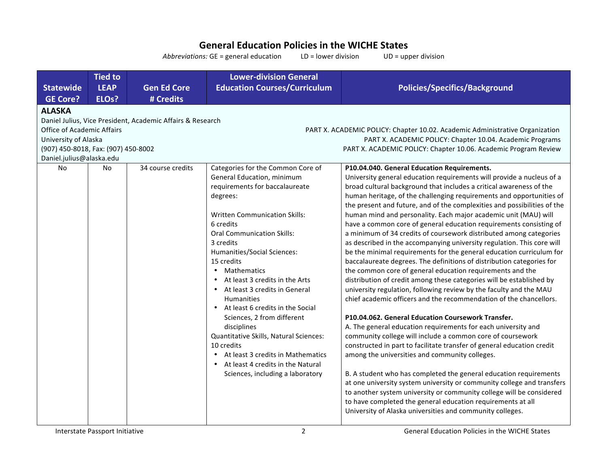## **General Education Policies in the WICHE States**

Abbreviations: GE = general education
LD = lower division
UD = upper division

|                                                                                                        | <b>Tied to</b>     |                                                            | <b>Lower-division General</b>                                                                                                                                                                                                                                                                                                                                                                                                                                                                                                                                                                                                       |                                                                                                                                                                                                                                                                                                                                                                                                                                                                                                                                                                                                                                                                                                                                                                                                                                                                                                                                                                                                                                                                                                                                                                                                                                                                                                                                                                                                                                                                                                                                                                                                                                                                                   |
|--------------------------------------------------------------------------------------------------------|--------------------|------------------------------------------------------------|-------------------------------------------------------------------------------------------------------------------------------------------------------------------------------------------------------------------------------------------------------------------------------------------------------------------------------------------------------------------------------------------------------------------------------------------------------------------------------------------------------------------------------------------------------------------------------------------------------------------------------------|-----------------------------------------------------------------------------------------------------------------------------------------------------------------------------------------------------------------------------------------------------------------------------------------------------------------------------------------------------------------------------------------------------------------------------------------------------------------------------------------------------------------------------------------------------------------------------------------------------------------------------------------------------------------------------------------------------------------------------------------------------------------------------------------------------------------------------------------------------------------------------------------------------------------------------------------------------------------------------------------------------------------------------------------------------------------------------------------------------------------------------------------------------------------------------------------------------------------------------------------------------------------------------------------------------------------------------------------------------------------------------------------------------------------------------------------------------------------------------------------------------------------------------------------------------------------------------------------------------------------------------------------------------------------------------------|
| <b>Statewide</b>                                                                                       | <b>LEAP</b>        | <b>Gen Ed Core</b>                                         | <b>Education Courses/Curriculum</b>                                                                                                                                                                                                                                                                                                                                                                                                                                                                                                                                                                                                 | <b>Policies/Specifics/Background</b>                                                                                                                                                                                                                                                                                                                                                                                                                                                                                                                                                                                                                                                                                                                                                                                                                                                                                                                                                                                                                                                                                                                                                                                                                                                                                                                                                                                                                                                                                                                                                                                                                                              |
| <b>GE Core?</b>                                                                                        | ELO <sub>s</sub> ? | # Credits                                                  |                                                                                                                                                                                                                                                                                                                                                                                                                                                                                                                                                                                                                                     |                                                                                                                                                                                                                                                                                                                                                                                                                                                                                                                                                                                                                                                                                                                                                                                                                                                                                                                                                                                                                                                                                                                                                                                                                                                                                                                                                                                                                                                                                                                                                                                                                                                                                   |
| <b>ALASKA</b>                                                                                          |                    |                                                            |                                                                                                                                                                                                                                                                                                                                                                                                                                                                                                                                                                                                                                     |                                                                                                                                                                                                                                                                                                                                                                                                                                                                                                                                                                                                                                                                                                                                                                                                                                                                                                                                                                                                                                                                                                                                                                                                                                                                                                                                                                                                                                                                                                                                                                                                                                                                                   |
|                                                                                                        |                    | Daniel Julius, Vice President, Academic Affairs & Research |                                                                                                                                                                                                                                                                                                                                                                                                                                                                                                                                                                                                                                     |                                                                                                                                                                                                                                                                                                                                                                                                                                                                                                                                                                                                                                                                                                                                                                                                                                                                                                                                                                                                                                                                                                                                                                                                                                                                                                                                                                                                                                                                                                                                                                                                                                                                                   |
| <b>Office of Academic Affairs</b>                                                                      |                    |                                                            |                                                                                                                                                                                                                                                                                                                                                                                                                                                                                                                                                                                                                                     | PART X. ACADEMIC POLICY: Chapter 10.02. Academic Administrative Organization                                                                                                                                                                                                                                                                                                                                                                                                                                                                                                                                                                                                                                                                                                                                                                                                                                                                                                                                                                                                                                                                                                                                                                                                                                                                                                                                                                                                                                                                                                                                                                                                      |
| University of Alaska                                                                                   |                    |                                                            |                                                                                                                                                                                                                                                                                                                                                                                                                                                                                                                                                                                                                                     | PART X. ACADEMIC POLICY: Chapter 10.04. Academic Programs                                                                                                                                                                                                                                                                                                                                                                                                                                                                                                                                                                                                                                                                                                                                                                                                                                                                                                                                                                                                                                                                                                                                                                                                                                                                                                                                                                                                                                                                                                                                                                                                                         |
| (907) 450-8018, Fax: (907) 450-8002<br>PART X. ACADEMIC POLICY: Chapter 10.06. Academic Program Review |                    |                                                            |                                                                                                                                                                                                                                                                                                                                                                                                                                                                                                                                                                                                                                     |                                                                                                                                                                                                                                                                                                                                                                                                                                                                                                                                                                                                                                                                                                                                                                                                                                                                                                                                                                                                                                                                                                                                                                                                                                                                                                                                                                                                                                                                                                                                                                                                                                                                                   |
| Daniel.julius@alaska.edu                                                                               |                    |                                                            |                                                                                                                                                                                                                                                                                                                                                                                                                                                                                                                                                                                                                                     |                                                                                                                                                                                                                                                                                                                                                                                                                                                                                                                                                                                                                                                                                                                                                                                                                                                                                                                                                                                                                                                                                                                                                                                                                                                                                                                                                                                                                                                                                                                                                                                                                                                                                   |
| No                                                                                                     | No                 | 34 course credits                                          | Categories for the Common Core of<br>General Education, minimum<br>requirements for baccalaureate<br>degrees:<br><b>Written Communication Skills:</b><br>6 credits<br><b>Oral Communication Skills:</b><br>3 credits<br>Humanities/Social Sciences:<br>15 credits<br>Mathematics<br>At least 3 credits in the Arts<br>• At least 3 credits in General<br><b>Humanities</b><br>• At least 6 credits in the Social<br>Sciences, 2 from different<br>disciplines<br>Quantitative Skills, Natural Sciences:<br>10 credits<br>At least 3 credits in Mathematics<br>At least 4 credits in the Natural<br>Sciences, including a laboratory | P10.04.040. General Education Requirements.<br>University general education requirements will provide a nucleus of a<br>broad cultural background that includes a critical awareness of the<br>human heritage, of the challenging requirements and opportunities of<br>the present and future, and of the complexities and possibilities of the<br>human mind and personality. Each major academic unit (MAU) will<br>have a common core of general education requirements consisting of<br>a minimum of 34 credits of coursework distributed among categories<br>as described in the accompanying university regulation. This core will<br>be the minimal requirements for the general education curriculum for<br>baccalaureate degrees. The definitions of distribution categories for<br>the common core of general education requirements and the<br>distribution of credit among these categories will be established by<br>university regulation, following review by the faculty and the MAU<br>chief academic officers and the recommendation of the chancellors.<br>P10.04.062. General Education Coursework Transfer.<br>A. The general education requirements for each university and<br>community college will include a common core of coursework<br>constructed in part to facilitate transfer of general education credit<br>among the universities and community colleges.<br>B. A student who has completed the general education requirements<br>at one university system university or community college and transfers<br>to another system university or community college will be considered<br>to have completed the general education requirements at all |
|                                                                                                        |                    |                                                            |                                                                                                                                                                                                                                                                                                                                                                                                                                                                                                                                                                                                                                     | University of Alaska universities and community colleges.                                                                                                                                                                                                                                                                                                                                                                                                                                                                                                                                                                                                                                                                                                                                                                                                                                                                                                                                                                                                                                                                                                                                                                                                                                                                                                                                                                                                                                                                                                                                                                                                                         |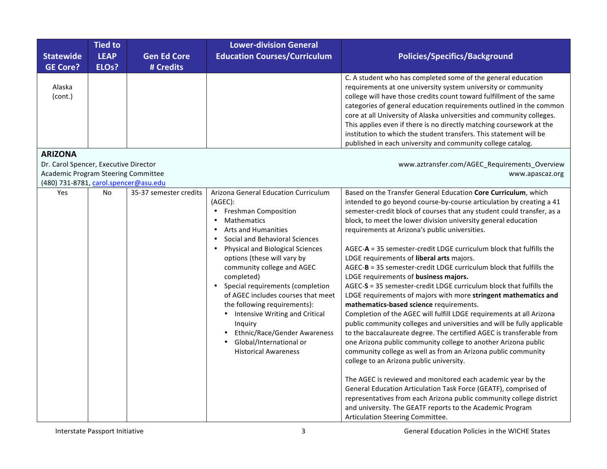| <b>Statewide</b><br><b>GE Core?</b>                                                                                   | <b>Tied to</b><br><b>LEAP</b><br>ELO <sub>s</sub> ? | <b>Gen Ed Core</b><br># Credits | <b>Lower-division General</b><br><b>Education Courses/Curriculum</b>                                                                                                                                                                                                                                                                                                                                                                                                                                                                                                                                                      | <b>Policies/Specifics/Background</b>                                                                                                                                                                                                                                                                                                                                                                                                                                                                                                                                                                                                                                                                                                                                                                                                                                                                                                                                                                                                                                                                                                                                                                                                                                                                                                                                                                                                                                               |
|-----------------------------------------------------------------------------------------------------------------------|-----------------------------------------------------|---------------------------------|---------------------------------------------------------------------------------------------------------------------------------------------------------------------------------------------------------------------------------------------------------------------------------------------------------------------------------------------------------------------------------------------------------------------------------------------------------------------------------------------------------------------------------------------------------------------------------------------------------------------------|------------------------------------------------------------------------------------------------------------------------------------------------------------------------------------------------------------------------------------------------------------------------------------------------------------------------------------------------------------------------------------------------------------------------------------------------------------------------------------------------------------------------------------------------------------------------------------------------------------------------------------------------------------------------------------------------------------------------------------------------------------------------------------------------------------------------------------------------------------------------------------------------------------------------------------------------------------------------------------------------------------------------------------------------------------------------------------------------------------------------------------------------------------------------------------------------------------------------------------------------------------------------------------------------------------------------------------------------------------------------------------------------------------------------------------------------------------------------------------|
| Alaska<br>(cont.)                                                                                                     |                                                     |                                 |                                                                                                                                                                                                                                                                                                                                                                                                                                                                                                                                                                                                                           | C. A student who has completed some of the general education<br>requirements at one university system university or community<br>college will have those credits count toward fulfillment of the same<br>categories of general education requirements outlined in the common<br>core at all University of Alaska universities and community colleges.<br>This applies even if there is no directly matching coursework at the<br>institution to which the student transfers. This statement will be<br>published in each university and community college catalog.                                                                                                                                                                                                                                                                                                                                                                                                                                                                                                                                                                                                                                                                                                                                                                                                                                                                                                                 |
| <b>ARIZONA</b>                                                                                                        |                                                     |                                 |                                                                                                                                                                                                                                                                                                                                                                                                                                                                                                                                                                                                                           |                                                                                                                                                                                                                                                                                                                                                                                                                                                                                                                                                                                                                                                                                                                                                                                                                                                                                                                                                                                                                                                                                                                                                                                                                                                                                                                                                                                                                                                                                    |
| Dr. Carol Spencer, Executive Director<br>Academic Program Steering Committee<br>(480) 731-8781, carol.spencer@asu.edu |                                                     |                                 |                                                                                                                                                                                                                                                                                                                                                                                                                                                                                                                                                                                                                           | www.aztransfer.com/AGEC_Requirements_Overview<br>www.apascaz.org                                                                                                                                                                                                                                                                                                                                                                                                                                                                                                                                                                                                                                                                                                                                                                                                                                                                                                                                                                                                                                                                                                                                                                                                                                                                                                                                                                                                                   |
| Yes                                                                                                                   | <b>No</b>                                           | 35-37 semester credits          | Arizona General Education Curriculum<br>(AGEC):<br><b>Freshman Composition</b><br>$\bullet$<br><b>Mathematics</b><br>$\bullet$<br><b>Arts and Humanities</b><br>Social and Behavioral Sciences<br>$\bullet$<br><b>Physical and Biological Sciences</b><br>$\bullet$<br>options (these will vary by<br>community college and AGEC<br>completed)<br>Special requirements (completion<br>$\bullet$<br>of AGEC includes courses that meet<br>the following requirements):<br>Intensive Writing and Critical<br>Inquiry<br>Ethnic/Race/Gender Awareness<br>Global/International or<br>$\bullet$<br><b>Historical Awareness</b> | Based on the Transfer General Education Core Curriculum, which<br>intended to go beyond course-by-course articulation by creating a 41<br>semester-credit block of courses that any student could transfer, as a<br>block, to meet the lower division university general education<br>requirements at Arizona's public universities.<br>AGEC-A = 35 semester-credit LDGE curriculum block that fulfills the<br>LDGE requirements of liberal arts majors.<br>AGEC-B = 35 semester-credit LDGE curriculum block that fulfills the<br>LDGE requirements of business majors.<br>AGEC-S = 35 semester-credit LDGE curriculum block that fulfills the<br>LDGE requirements of majors with more stringent mathematics and<br>mathematics-based science requirements.<br>Completion of the AGEC will fulfill LDGE requirements at all Arizona<br>public community colleges and universities and will be fully applicable<br>to the baccalaureate degree. The certified AGEC is transferable from<br>one Arizona public community college to another Arizona public<br>community college as well as from an Arizona public community<br>college to an Arizona public university.<br>The AGEC is reviewed and monitored each academic year by the<br>General Education Articulation Task Force (GEATF), comprised of<br>representatives from each Arizona public community college district<br>and university. The GEATF reports to the Academic Program<br>Articulation Steering Committee. |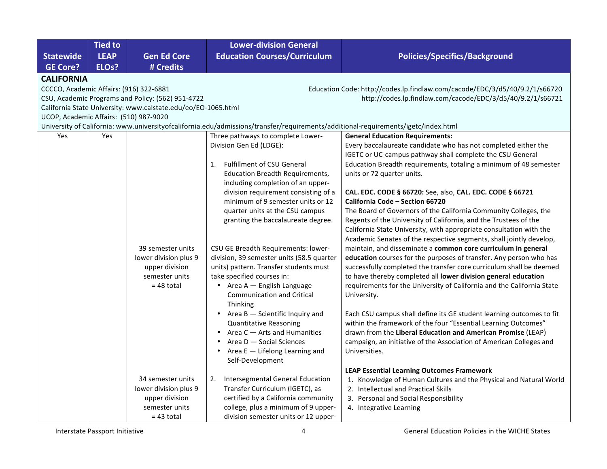|                                         | <b>Tied to</b>     |                                                               | <b>Lower-division General</b>                                                                                                      |                                                                                                                                            |
|-----------------------------------------|--------------------|---------------------------------------------------------------|------------------------------------------------------------------------------------------------------------------------------------|--------------------------------------------------------------------------------------------------------------------------------------------|
| <b>Statewide</b>                        | <b>LEAP</b>        | <b>Gen Ed Core</b>                                            | <b>Education Courses/Curriculum</b>                                                                                                | <b>Policies/Specifics/Background</b>                                                                                                       |
| <b>GE Core?</b>                         | ELO <sub>s</sub> ? | # Credits                                                     |                                                                                                                                    |                                                                                                                                            |
| <b>CALIFORNIA</b>                       |                    |                                                               |                                                                                                                                    |                                                                                                                                            |
| CCCCO, Academic Affairs: (916) 322-6881 |                    | CSU, Academic Programs and Policy: (562) 951-4722             |                                                                                                                                    | Education Code: http://codes.lp.findlaw.com/cacode/EDC/3/d5/40/9.2/1/s66720<br>http://codes.lp.findlaw.com/cacode/EDC/3/d5/40/9.2/1/s66721 |
|                                         |                    | California State University: www.calstate.edu/eo/EO-1065.html |                                                                                                                                    |                                                                                                                                            |
| UCOP, Academic Affairs: (510) 987-9020  |                    |                                                               |                                                                                                                                    |                                                                                                                                            |
|                                         |                    |                                                               | University of California: www.universityofcalifornia.edu/admissions/transfer/requirements/additional-requirements/igetc/index.html |                                                                                                                                            |
| Yes                                     | Yes                |                                                               | Three pathways to complete Lower-                                                                                                  | <b>General Education Requirements:</b>                                                                                                     |
|                                         |                    |                                                               | Division Gen Ed (LDGE):                                                                                                            | Every baccalaureate candidate who has not completed either the                                                                             |
|                                         |                    |                                                               |                                                                                                                                    | IGETC or UC-campus pathway shall complete the CSU General                                                                                  |
|                                         |                    |                                                               | Fulfillment of CSU General<br>1.                                                                                                   | Education Breadth requirements, totaling a minimum of 48 semester                                                                          |
|                                         |                    |                                                               | <b>Education Breadth Requirements,</b>                                                                                             | units or 72 quarter units.                                                                                                                 |
|                                         |                    |                                                               | including completion of an upper-                                                                                                  |                                                                                                                                            |
|                                         |                    |                                                               | division requirement consisting of a                                                                                               | CAL. EDC. CODE § 66720: See, also, CAL. EDC. CODE § 66721                                                                                  |
|                                         |                    |                                                               | minimum of 9 semester units or 12                                                                                                  | California Code - Section 66720                                                                                                            |
|                                         |                    |                                                               | quarter units at the CSU campus<br>granting the baccalaureate degree.                                                              | The Board of Governors of the California Community Colleges, the<br>Regents of the University of California, and the Trustees of the       |
|                                         |                    |                                                               |                                                                                                                                    | California State University, with appropriate consultation with the                                                                        |
|                                         |                    |                                                               |                                                                                                                                    | Academic Senates of the respective segments, shall jointly develop,                                                                        |
|                                         |                    | 39 semester units                                             | CSU GE Breadth Requirements: lower-                                                                                                | maintain, and disseminate a common core curriculum in general                                                                              |
|                                         |                    | lower division plus 9                                         | division, 39 semester units (58.5 quarter                                                                                          | education courses for the purposes of transfer. Any person who has                                                                         |
|                                         |                    | upper division                                                | units) pattern. Transfer students must                                                                                             | successfully completed the transfer core curriculum shall be deemed                                                                        |
|                                         |                    | semester units                                                | take specified courses in:                                                                                                         | to have thereby completed all lower division general education                                                                             |
|                                         |                    | $= 48$ total                                                  | • Area A - English Language                                                                                                        | requirements for the University of California and the California State                                                                     |
|                                         |                    |                                                               | <b>Communication and Critical</b>                                                                                                  | University.                                                                                                                                |
|                                         |                    |                                                               | <b>Thinking</b>                                                                                                                    |                                                                                                                                            |
|                                         |                    |                                                               | • Area $B$ $-$ Scientific Inquiry and                                                                                              | Each CSU campus shall define its GE student learning outcomes to fit                                                                       |
|                                         |                    |                                                               | <b>Quantitative Reasoning</b>                                                                                                      | within the framework of the four "Essential Learning Outcomes"                                                                             |
|                                         |                    |                                                               | Area C - Arts and Humanities                                                                                                       | drawn from the Liberal Education and American Promise (LEAP)                                                                               |
|                                         |                    |                                                               | Area D - Social Sciences                                                                                                           | campaign, an initiative of the Association of American Colleges and                                                                        |
|                                         |                    |                                                               | Area $E -$ Lifelong Learning and<br>$\bullet$<br>Self-Development                                                                  | Universities.                                                                                                                              |
|                                         |                    |                                                               |                                                                                                                                    | <b>LEAP Essential Learning Outcomes Framework</b>                                                                                          |
|                                         |                    | 34 semester units                                             | 2.<br>Intersegmental General Education                                                                                             | 1. Knowledge of Human Cultures and the Physical and Natural World                                                                          |
|                                         |                    | lower division plus 9                                         | Transfer Curriculum (IGETC), as                                                                                                    | 2. Intellectual and Practical Skills                                                                                                       |
|                                         |                    | upper division                                                | certified by a California community                                                                                                | 3. Personal and Social Responsibility                                                                                                      |
|                                         |                    | semester units                                                | college, plus a minimum of 9 upper-                                                                                                | 4. Integrative Learning                                                                                                                    |
|                                         |                    | $= 43$ total                                                  | division semester units or 12 upper-                                                                                               |                                                                                                                                            |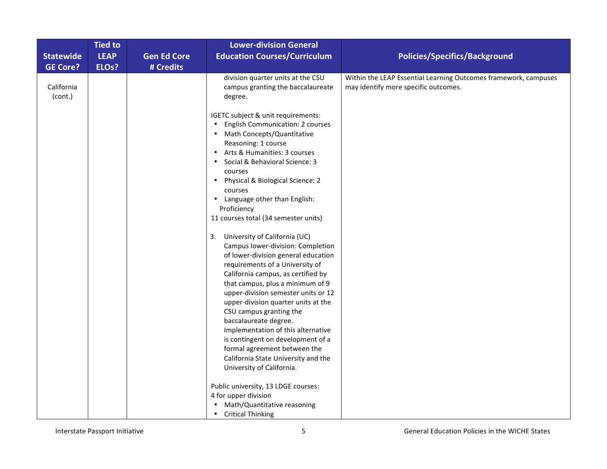|                                     | <b>Tied to</b><br><b>LEAP</b> |                                 | <b>Lower-division General</b>                                                                                                                                                                                                                                                                                                                                                                                                                                                                                                                                                      |                                                                                                         |
|-------------------------------------|-------------------------------|---------------------------------|------------------------------------------------------------------------------------------------------------------------------------------------------------------------------------------------------------------------------------------------------------------------------------------------------------------------------------------------------------------------------------------------------------------------------------------------------------------------------------------------------------------------------------------------------------------------------------|---------------------------------------------------------------------------------------------------------|
| <b>Statewide</b><br><b>GE Core?</b> | ELO <sub>s</sub> ?            | <b>Gen Ed Core</b><br># Credits | <b>Education Courses/Curriculum</b>                                                                                                                                                                                                                                                                                                                                                                                                                                                                                                                                                | <b>Policies/Specifics/Background</b>                                                                    |
| California<br>(cont.)               |                               |                                 | division quarter units at the CSU<br>campus granting the baccalaureate<br>degree.                                                                                                                                                                                                                                                                                                                                                                                                                                                                                                  | Within the LEAP Essential Learning Outcomes framework, campuses<br>may identify more specific outcomes. |
|                                     |                               |                                 | IGETC subject & unit requirements:<br>English Communication: 2 courses<br>Math Concepts/Quantitative<br>Reasoning: 1 course<br>• Arts & Humanities: 3 courses<br>Social & Behavioral Science: 3<br>courses<br>Physical & Biological Science: 2<br>courses<br>Language other than English:<br>Proficiency                                                                                                                                                                                                                                                                           |                                                                                                         |
|                                     |                               |                                 | 11 courses total (34 semester units)<br>3. University of California (UC)<br>Campus lower-division: Completion<br>of lower-division general education<br>requirements of a University of<br>California campus, as certified by<br>that campus, plus a minimum of 9<br>upper-division semester units or 12<br>upper-division quarter units at the<br>CSU campus granting the<br>baccalaureate degree.<br>Implementation of this alternative<br>is contingent on development of a<br>formal agreement between the<br>California State University and the<br>University of California. |                                                                                                         |
|                                     |                               |                                 | Public university, 13 LDGE courses:<br>4 for upper division<br>Math/Quantitative reasoning<br><b>Critical Thinking</b><br>$\bullet$                                                                                                                                                                                                                                                                                                                                                                                                                                                |                                                                                                         |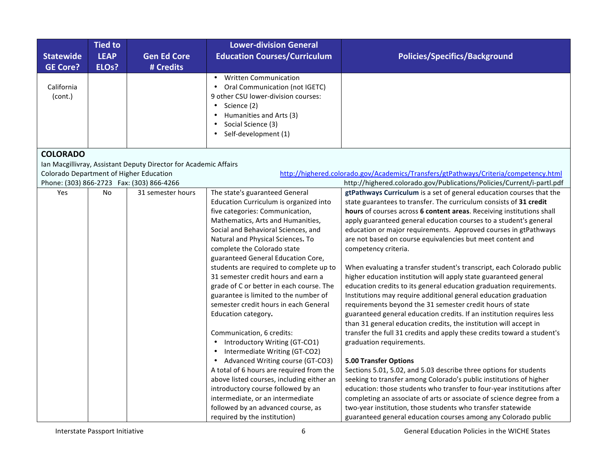| <b>Statewide</b><br><b>GE Core?</b>     | <b>Tied to</b><br><b>LEAP</b><br>ELO <sub>s</sub> ? | <b>Gen Ed Core</b><br># Credits                                  | <b>Lower-division General</b><br><b>Education Courses/Curriculum</b>                                                                                                                                       | <b>Policies/Specifics/Background</b>                                                                                                           |
|-----------------------------------------|-----------------------------------------------------|------------------------------------------------------------------|------------------------------------------------------------------------------------------------------------------------------------------------------------------------------------------------------------|------------------------------------------------------------------------------------------------------------------------------------------------|
| California<br>(cont.)                   |                                                     |                                                                  | <b>Written Communication</b><br>Oral Communication (not IGETC)<br>$\bullet$<br>9 other CSU lower-division courses:<br>Science (2)<br>Humanities and Arts (3)<br>Social Science (3)<br>Self-development (1) |                                                                                                                                                |
| <b>COLORADO</b>                         |                                                     |                                                                  |                                                                                                                                                                                                            |                                                                                                                                                |
|                                         |                                                     | Ian Macgillivray, Assistant Deputy Director for Academic Affairs |                                                                                                                                                                                                            |                                                                                                                                                |
| Colorado Department of Higher Education |                                                     |                                                                  |                                                                                                                                                                                                            | http://highered.colorado.gov/Academics/Transfers/gtPathways/Criteria/competency.html                                                           |
| Yes                                     | No                                                  | Phone: (303) 866-2723  Fax: (303) 866-4266<br>31 semester hours  | The state's guaranteed General                                                                                                                                                                             | http://highered.colorado.gov/Publications/Policies/Current/i-partl.pdf<br>gtPathways Curriculum is a set of general education courses that the |
|                                         |                                                     |                                                                  | Education Curriculum is organized into                                                                                                                                                                     | state guarantees to transfer. The curriculum consists of 31 credit                                                                             |
|                                         |                                                     |                                                                  | five categories: Communication,                                                                                                                                                                            | hours of courses across 6 content areas. Receiving institutions shall                                                                          |
|                                         |                                                     |                                                                  | Mathematics, Arts and Humanities,                                                                                                                                                                          | apply guaranteed general education courses to a student's general                                                                              |
|                                         |                                                     |                                                                  | Social and Behavioral Sciences, and                                                                                                                                                                        | education or major requirements. Approved courses in gtPathways                                                                                |
|                                         |                                                     |                                                                  | Natural and Physical Sciences. To                                                                                                                                                                          | are not based on course equivalencies but meet content and                                                                                     |
|                                         |                                                     |                                                                  | complete the Colorado state                                                                                                                                                                                | competency criteria.                                                                                                                           |
|                                         |                                                     |                                                                  | guaranteed General Education Core,                                                                                                                                                                         |                                                                                                                                                |
|                                         |                                                     |                                                                  | students are required to complete up to                                                                                                                                                                    | When evaluating a transfer student's transcript, each Colorado public                                                                          |
|                                         |                                                     |                                                                  | 31 semester credit hours and earn a                                                                                                                                                                        | higher education institution will apply state guaranteed general                                                                               |
|                                         |                                                     |                                                                  | grade of C or better in each course. The                                                                                                                                                                   | education credits to its general education graduation requirements.                                                                            |
|                                         |                                                     |                                                                  | guarantee is limited to the number of                                                                                                                                                                      | Institutions may require additional general education graduation                                                                               |
|                                         |                                                     |                                                                  | semester credit hours in each General                                                                                                                                                                      | requirements beyond the 31 semester credit hours of state                                                                                      |
|                                         |                                                     |                                                                  | Education category.                                                                                                                                                                                        | guaranteed general education credits. If an institution requires less                                                                          |
|                                         |                                                     |                                                                  |                                                                                                                                                                                                            | than 31 general education credits, the institution will accept in                                                                              |
|                                         |                                                     |                                                                  | Communication, 6 credits:                                                                                                                                                                                  | transfer the full 31 credits and apply these credits toward a student's                                                                        |
|                                         |                                                     |                                                                  | Introductory Writing (GT-CO1)                                                                                                                                                                              | graduation requirements.                                                                                                                       |
|                                         |                                                     |                                                                  | Intermediate Writing (GT-CO2)                                                                                                                                                                              |                                                                                                                                                |
|                                         |                                                     |                                                                  | Advanced Writing course (GT-CO3)                                                                                                                                                                           | <b>5.00 Transfer Options</b>                                                                                                                   |
|                                         |                                                     |                                                                  | A total of 6 hours are required from the                                                                                                                                                                   | Sections 5.01, 5.02, and 5.03 describe three options for students                                                                              |
|                                         |                                                     |                                                                  | above listed courses, including either an                                                                                                                                                                  | seeking to transfer among Colorado's public institutions of higher                                                                             |
|                                         |                                                     |                                                                  | introductory course followed by an                                                                                                                                                                         | education: those students who transfer to four-year institutions after                                                                         |
|                                         |                                                     |                                                                  | intermediate, or an intermediate                                                                                                                                                                           | completing an associate of arts or associate of science degree from a                                                                          |
|                                         |                                                     |                                                                  | followed by an advanced course, as                                                                                                                                                                         | two-year institution, those students who transfer statewide                                                                                    |
|                                         |                                                     |                                                                  | required by the institution)                                                                                                                                                                               | guaranteed general education courses among any Colorado public                                                                                 |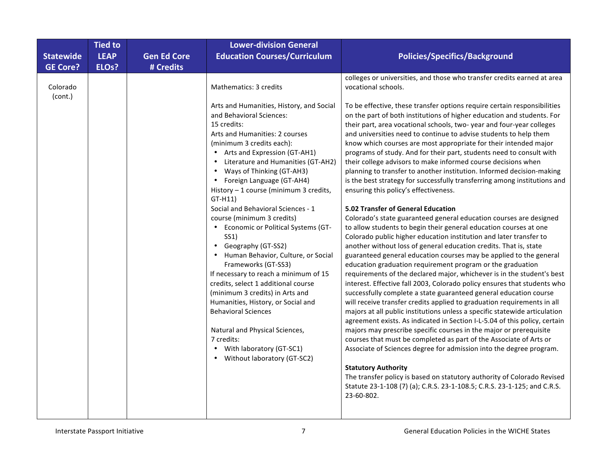|                     | <b>Tied to</b>     |                    | <b>Lower-division General</b>                                                                                                                                                                                                                                                                                                                                                                                                                                                                                                                                                                                                                                                                                                                                                                                                                                                        |                                                                                                                                                                                                                                                                                                                                                                                                                                                                                                                                                                                                                                                                                                                                                                                                                                                                                                                                                                                                                                                                                                                                                                                                                                                                                                                                                                                                                                                                                                                                                                                                                                                                                                                                                                                                                                                                                                                                                                                                                                                                             |
|---------------------|--------------------|--------------------|--------------------------------------------------------------------------------------------------------------------------------------------------------------------------------------------------------------------------------------------------------------------------------------------------------------------------------------------------------------------------------------------------------------------------------------------------------------------------------------------------------------------------------------------------------------------------------------------------------------------------------------------------------------------------------------------------------------------------------------------------------------------------------------------------------------------------------------------------------------------------------------|-----------------------------------------------------------------------------------------------------------------------------------------------------------------------------------------------------------------------------------------------------------------------------------------------------------------------------------------------------------------------------------------------------------------------------------------------------------------------------------------------------------------------------------------------------------------------------------------------------------------------------------------------------------------------------------------------------------------------------------------------------------------------------------------------------------------------------------------------------------------------------------------------------------------------------------------------------------------------------------------------------------------------------------------------------------------------------------------------------------------------------------------------------------------------------------------------------------------------------------------------------------------------------------------------------------------------------------------------------------------------------------------------------------------------------------------------------------------------------------------------------------------------------------------------------------------------------------------------------------------------------------------------------------------------------------------------------------------------------------------------------------------------------------------------------------------------------------------------------------------------------------------------------------------------------------------------------------------------------------------------------------------------------------------------------------------------------|
| <b>Statewide</b>    | <b>LEAP</b>        | <b>Gen Ed Core</b> | <b>Education Courses/Curriculum</b>                                                                                                                                                                                                                                                                                                                                                                                                                                                                                                                                                                                                                                                                                                                                                                                                                                                  | <b>Policies/Specifics/Background</b>                                                                                                                                                                                                                                                                                                                                                                                                                                                                                                                                                                                                                                                                                                                                                                                                                                                                                                                                                                                                                                                                                                                                                                                                                                                                                                                                                                                                                                                                                                                                                                                                                                                                                                                                                                                                                                                                                                                                                                                                                                        |
| <b>GE Core?</b>     | ELO <sub>s</sub> ? | # Credits          |                                                                                                                                                                                                                                                                                                                                                                                                                                                                                                                                                                                                                                                                                                                                                                                                                                                                                      |                                                                                                                                                                                                                                                                                                                                                                                                                                                                                                                                                                                                                                                                                                                                                                                                                                                                                                                                                                                                                                                                                                                                                                                                                                                                                                                                                                                                                                                                                                                                                                                                                                                                                                                                                                                                                                                                                                                                                                                                                                                                             |
| Colorado<br>(cont.) |                    |                    | Mathematics: 3 credits<br>Arts and Humanities, History, and Social<br>and Behavioral Sciences:<br>15 credits:<br>Arts and Humanities: 2 courses<br>(minimum 3 credits each):<br>• Arts and Expression (GT-AH1)<br>Literature and Humanities (GT-AH2)<br>Ways of Thinking (GT-AH3)<br>• Foreign Language (GT-AH4)<br>History - 1 course (minimum 3 credits,<br>$GT-H11)$<br>Social and Behavioral Sciences - 1<br>course (minimum 3 credits)<br>• Economic or Political Systems (GT-<br>SS1)<br>Geography (GT-SS2)<br>Human Behavior, Culture, or Social<br>Frameworks (GT-SS3)<br>If necessary to reach a minimum of 15<br>credits, select 1 additional course<br>(minimum 3 credits) in Arts and<br>Humanities, History, or Social and<br><b>Behavioral Sciences</b><br>Natural and Physical Sciences,<br>7 credits:<br>• With laboratory (GT-SC1)<br>• Without laboratory (GT-SC2) | colleges or universities, and those who transfer credits earned at area<br>vocational schools.<br>To be effective, these transfer options require certain responsibilities<br>on the part of both institutions of higher education and students. For<br>their part, area vocational schools, two-year and four-year colleges<br>and universities need to continue to advise students to help them<br>know which courses are most appropriate for their intended major<br>programs of study. And for their part, students need to consult with<br>their college advisors to make informed course decisions when<br>planning to transfer to another institution. Informed decision-making<br>is the best strategy for successfully transferring among institutions and<br>ensuring this policy's effectiveness.<br>5.02 Transfer of General Education<br>Colorado's state guaranteed general education courses are designed<br>to allow students to begin their general education courses at one<br>Colorado public higher education institution and later transfer to<br>another without loss of general education credits. That is, state<br>guaranteed general education courses may be applied to the general<br>education graduation requirement program or the graduation<br>requirements of the declared major, whichever is in the student's best<br>interest. Effective fall 2003, Colorado policy ensures that students who<br>successfully complete a state guaranteed general education course<br>will receive transfer credits applied to graduation requirements in all<br>majors at all public institutions unless a specific statewide articulation<br>agreement exists. As indicated in Section I-L-5.04 of this policy, certain<br>majors may prescribe specific courses in the major or prerequisite<br>courses that must be completed as part of the Associate of Arts or<br>Associate of Sciences degree for admission into the degree program.<br><b>Statutory Authority</b><br>The transfer policy is based on statutory authority of Colorado Revised |
|                     |                    |                    |                                                                                                                                                                                                                                                                                                                                                                                                                                                                                                                                                                                                                                                                                                                                                                                                                                                                                      | Statute 23-1-108 (7) (a); C.R.S. 23-1-108.5; C.R.S. 23-1-125; and C.R.S.<br>23-60-802.                                                                                                                                                                                                                                                                                                                                                                                                                                                                                                                                                                                                                                                                                                                                                                                                                                                                                                                                                                                                                                                                                                                                                                                                                                                                                                                                                                                                                                                                                                                                                                                                                                                                                                                                                                                                                                                                                                                                                                                      |
|                     |                    |                    |                                                                                                                                                                                                                                                                                                                                                                                                                                                                                                                                                                                                                                                                                                                                                                                                                                                                                      |                                                                                                                                                                                                                                                                                                                                                                                                                                                                                                                                                                                                                                                                                                                                                                                                                                                                                                                                                                                                                                                                                                                                                                                                                                                                                                                                                                                                                                                                                                                                                                                                                                                                                                                                                                                                                                                                                                                                                                                                                                                                             |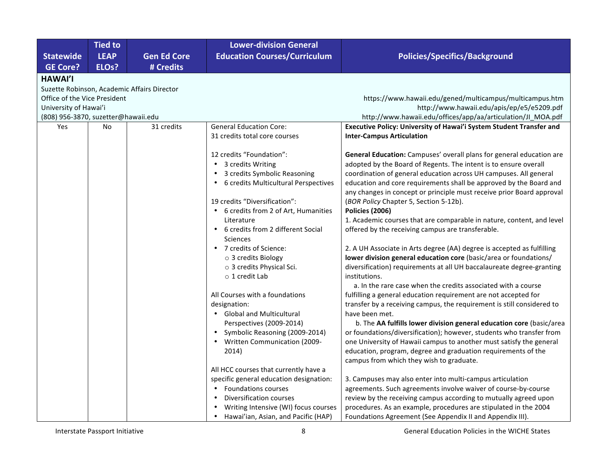|                                     | <b>Tied to</b>                              |                    | <b>Lower-division General</b>           |                                                                        |  |  |  |  |
|-------------------------------------|---------------------------------------------|--------------------|-----------------------------------------|------------------------------------------------------------------------|--|--|--|--|
| <b>Statewide</b>                    | <b>LEAP</b>                                 | <b>Gen Ed Core</b> | <b>Education Courses/Curriculum</b>     | <b>Policies/Specifics/Background</b>                                   |  |  |  |  |
| <b>GE Core?</b>                     | ELO <sub>s</sub> ?                          | # Credits          |                                         |                                                                        |  |  |  |  |
| <b>HAWAI'I</b>                      |                                             |                    |                                         |                                                                        |  |  |  |  |
|                                     | Suzette Robinson, Academic Affairs Director |                    |                                         |                                                                        |  |  |  |  |
| Office of the Vice President        |                                             |                    |                                         | https://www.hawaii.edu/gened/multicampus/multicampus.htm               |  |  |  |  |
| University of Hawai'i               |                                             |                    |                                         | http://www.hawaii.edu/apis/ep/e5/e5209.pdf                             |  |  |  |  |
| (808) 956-3870, suzetter@hawaii.edu |                                             |                    |                                         | http://www.hawaii.edu/offices/app/aa/articulation/JI_MOA.pdf           |  |  |  |  |
| Yes                                 | No                                          | 31 credits         | <b>General Education Core:</b>          | Executive Policy: University of Hawai'i System Student Transfer and    |  |  |  |  |
|                                     |                                             |                    | 31 credits total core courses           | <b>Inter-Campus Articulation</b>                                       |  |  |  |  |
|                                     |                                             |                    |                                         |                                                                        |  |  |  |  |
|                                     |                                             |                    | 12 credits "Foundation":                | General Education: Campuses' overall plans for general education are   |  |  |  |  |
|                                     |                                             |                    | 3 credits Writing                       | adopted by the Board of Regents. The intent is to ensure overall       |  |  |  |  |
|                                     |                                             |                    | 3 credits Symbolic Reasoning            | coordination of general education across UH campuses. All general      |  |  |  |  |
|                                     |                                             |                    | 6 credits Multicultural Perspectives    | education and core requirements shall be approved by the Board and     |  |  |  |  |
|                                     |                                             |                    |                                         | any changes in concept or principle must receive prior Board approval  |  |  |  |  |
|                                     |                                             |                    | 19 credits "Diversification":           | (BOR Policy Chapter 5, Section 5-12b).                                 |  |  |  |  |
|                                     |                                             |                    | 6 credits from 2 of Art, Humanities     | <b>Policies (2006)</b>                                                 |  |  |  |  |
|                                     |                                             |                    | Literature                              | 1. Academic courses that are comparable in nature, content, and level  |  |  |  |  |
|                                     |                                             |                    | 6 credits from 2 different Social       | offered by the receiving campus are transferable.                      |  |  |  |  |
|                                     |                                             |                    | Sciences                                |                                                                        |  |  |  |  |
|                                     |                                             |                    | • 7 credits of Science:                 | 2. A UH Associate in Arts degree (AA) degree is accepted as fulfilling |  |  |  |  |
|                                     |                                             |                    | o 3 credits Biology                     | lower division general education core (basic/area or foundations/      |  |  |  |  |
|                                     |                                             |                    | o 3 credits Physical Sci.               | diversification) requirements at all UH baccalaureate degree-granting  |  |  |  |  |
|                                     |                                             |                    | $\circ$ 1 credit Lab                    | institutions.                                                          |  |  |  |  |
|                                     |                                             |                    |                                         | a. In the rare case when the credits associated with a course          |  |  |  |  |
|                                     |                                             |                    | All Courses with a foundations          | fulfilling a general education requirement are not accepted for        |  |  |  |  |
|                                     |                                             |                    | designation:                            | transfer by a receiving campus, the requirement is still considered to |  |  |  |  |
|                                     |                                             |                    | • Global and Multicultural              | have been met.                                                         |  |  |  |  |
|                                     |                                             |                    | Perspectives (2009-2014)                | b. The AA fulfills lower division general education core (basic/area   |  |  |  |  |
|                                     |                                             |                    | Symbolic Reasoning (2009-2014)          | or foundations/diversification); however, students who transfer from   |  |  |  |  |
|                                     |                                             |                    | <b>Written Communication (2009-</b>     | one University of Hawaii campus to another must satisfy the general    |  |  |  |  |
|                                     |                                             |                    | 2014)                                   | education, program, degree and graduation requirements of the          |  |  |  |  |
|                                     |                                             |                    |                                         | campus from which they wish to graduate.                               |  |  |  |  |
|                                     |                                             |                    | All HCC courses that currently have a   |                                                                        |  |  |  |  |
|                                     |                                             |                    | specific general education designation: | 3. Campuses may also enter into multi-campus articulation              |  |  |  |  |
|                                     |                                             |                    | <b>Foundations courses</b>              | agreements. Such agreements involve waiver of course-by-course         |  |  |  |  |
|                                     |                                             |                    | Diversification courses                 | review by the receiving campus according to mutually agreed upon       |  |  |  |  |
|                                     |                                             |                    | Writing Intensive (WI) focus courses    | procedures. As an example, procedures are stipulated in the 2004       |  |  |  |  |
|                                     |                                             |                    | Hawai'ian, Asian, and Pacific (HAP)     | Foundations Agreement (See Appendix II and Appendix III).              |  |  |  |  |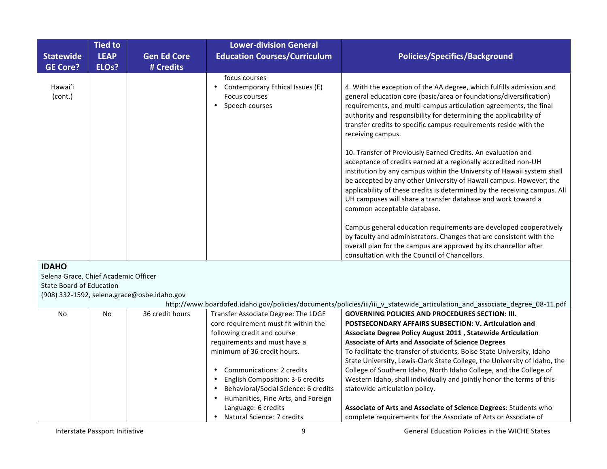| <b>Statewide</b>                     | <b>Tied to</b><br><b>LEAP</b> | <b>Gen Ed Core</b>                          | <b>Lower-division General</b><br><b>Education Courses/Curriculum</b>                                          | <b>Policies/Specifics/Background</b>                                                                                                                                                                                                                                                                                                                                                                                                                       |
|--------------------------------------|-------------------------------|---------------------------------------------|---------------------------------------------------------------------------------------------------------------|------------------------------------------------------------------------------------------------------------------------------------------------------------------------------------------------------------------------------------------------------------------------------------------------------------------------------------------------------------------------------------------------------------------------------------------------------------|
| <b>GE Core?</b>                      | ELO <sub>s</sub> ?            | # Credits                                   |                                                                                                               |                                                                                                                                                                                                                                                                                                                                                                                                                                                            |
| Hawai'i<br>(cont.)                   |                               |                                             | focus courses<br>Contemporary Ethical Issues (E)<br>$\bullet$<br>Focus courses<br>Speech courses<br>$\bullet$ | 4. With the exception of the AA degree, which fulfills admission and<br>general education core (basic/area or foundations/diversification)<br>requirements, and multi-campus articulation agreements, the final<br>authority and responsibility for determining the applicability of<br>transfer credits to specific campus requirements reside with the<br>receiving campus.                                                                              |
|                                      |                               |                                             |                                                                                                               | 10. Transfer of Previously Earned Credits. An evaluation and<br>acceptance of credits earned at a regionally accredited non-UH<br>institution by any campus within the University of Hawaii system shall<br>be accepted by any other University of Hawaii campus. However, the<br>applicability of these credits is determined by the receiving campus. All<br>UH campuses will share a transfer database and work toward a<br>common acceptable database. |
|                                      |                               |                                             |                                                                                                               | Campus general education requirements are developed cooperatively<br>by faculty and administrators. Changes that are consistent with the<br>overall plan for the campus are approved by its chancellor after<br>consultation with the Council of Chancellors.                                                                                                                                                                                              |
| <b>IDAHO</b>                         |                               |                                             |                                                                                                               |                                                                                                                                                                                                                                                                                                                                                                                                                                                            |
| Selena Grace, Chief Academic Officer |                               |                                             |                                                                                                               |                                                                                                                                                                                                                                                                                                                                                                                                                                                            |
| <b>State Board of Education</b>      |                               |                                             |                                                                                                               |                                                                                                                                                                                                                                                                                                                                                                                                                                                            |
|                                      |                               | (908) 332-1592, selena.grace@osbe.idaho.gov |                                                                                                               |                                                                                                                                                                                                                                                                                                                                                                                                                                                            |
|                                      |                               |                                             |                                                                                                               | http://www.boardofed.idaho.gov/policies/documents/policies/iii/iii_v_statewide_articulation_and_associate_degree_08-11.pdf                                                                                                                                                                                                                                                                                                                                 |
| <b>No</b>                            | <b>No</b>                     | 36 credit hours                             | Transfer Associate Degree: The LDGE                                                                           | <b>GOVERNING POLICIES AND PROCEDURES SECTION: III.</b>                                                                                                                                                                                                                                                                                                                                                                                                     |
|                                      |                               |                                             | core requirement must fit within the                                                                          | <b>POSTSECONDARY AFFAIRS SUBSECTION: V. Articulation and</b>                                                                                                                                                                                                                                                                                                                                                                                               |
|                                      |                               |                                             | following credit and course                                                                                   | Associate Degree Policy August 2011, Statewide Articulation                                                                                                                                                                                                                                                                                                                                                                                                |
|                                      |                               |                                             | requirements and must have a<br>minimum of 36 credit hours.                                                   | <b>Associate of Arts and Associate of Science Degrees</b>                                                                                                                                                                                                                                                                                                                                                                                                  |
|                                      |                               |                                             |                                                                                                               | To facilitate the transfer of students, Boise State University, Idaho<br>State University, Lewis-Clark State College, the University of Idaho, the                                                                                                                                                                                                                                                                                                         |
|                                      |                               |                                             | • Communications: 2 credits                                                                                   | College of Southern Idaho, North Idaho College, and the College of                                                                                                                                                                                                                                                                                                                                                                                         |
|                                      |                               |                                             | English Composition: 3-6 credits                                                                              | Western Idaho, shall individually and jointly honor the terms of this                                                                                                                                                                                                                                                                                                                                                                                      |
|                                      |                               |                                             | Behavioral/Social Science: 6 credits                                                                          | statewide articulation policy.                                                                                                                                                                                                                                                                                                                                                                                                                             |
|                                      |                               |                                             | Humanities, Fine Arts, and Foreign                                                                            |                                                                                                                                                                                                                                                                                                                                                                                                                                                            |
|                                      |                               |                                             | Language: 6 credits                                                                                           | Associate of Arts and Associate of Science Degrees: Students who                                                                                                                                                                                                                                                                                                                                                                                           |
|                                      |                               |                                             | • Natural Science: 7 credits                                                                                  | complete requirements for the Associate of Arts or Associate of                                                                                                                                                                                                                                                                                                                                                                                            |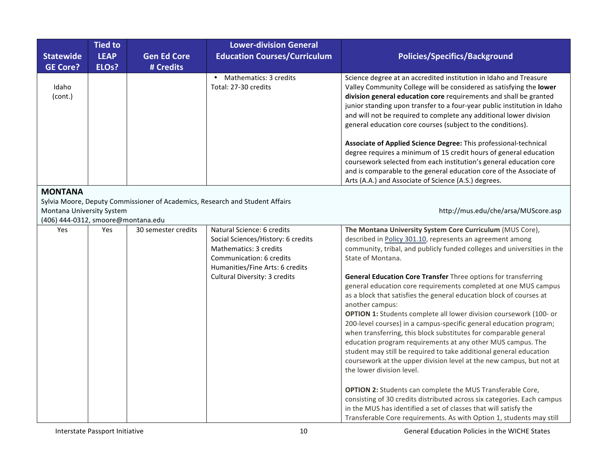| <b>Statewide</b>                                                | <b>Tied to</b><br><b>LEAP</b> | <b>Gen Ed Core</b>  | <b>Lower-division General</b><br><b>Education Courses/Curriculum</b>                                                                                                                              | <b>Policies/Specifics/Background</b>                                                                                                                                                                                                                                                                                                                                                                                                                                                                                                                                                                                                                                                                                                                                                                                                                                                                                                                                                                                                                            |
|-----------------------------------------------------------------|-------------------------------|---------------------|---------------------------------------------------------------------------------------------------------------------------------------------------------------------------------------------------|-----------------------------------------------------------------------------------------------------------------------------------------------------------------------------------------------------------------------------------------------------------------------------------------------------------------------------------------------------------------------------------------------------------------------------------------------------------------------------------------------------------------------------------------------------------------------------------------------------------------------------------------------------------------------------------------------------------------------------------------------------------------------------------------------------------------------------------------------------------------------------------------------------------------------------------------------------------------------------------------------------------------------------------------------------------------|
| <b>GE Core?</b>                                                 | ELO <sub>s</sub> ?            | # Credits           |                                                                                                                                                                                                   |                                                                                                                                                                                                                                                                                                                                                                                                                                                                                                                                                                                                                                                                                                                                                                                                                                                                                                                                                                                                                                                                 |
| Idaho<br>(cont.)                                                |                               |                     | Mathematics: 3 credits<br>Total: 27-30 credits                                                                                                                                                    | Science degree at an accredited institution in Idaho and Treasure<br>Valley Community College will be considered as satisfying the lower<br>division general education core requirements and shall be granted<br>junior standing upon transfer to a four-year public institution in Idaho<br>and will not be required to complete any additional lower division<br>general education core courses (subject to the conditions).                                                                                                                                                                                                                                                                                                                                                                                                                                                                                                                                                                                                                                  |
|                                                                 |                               |                     |                                                                                                                                                                                                   | Associate of Applied Science Degree: This professional-technical<br>degree requires a minimum of 15 credit hours of general education<br>coursework selected from each institution's general education core<br>and is comparable to the general education core of the Associate of<br>Arts (A.A.) and Associate of Science (A.S.) degrees.                                                                                                                                                                                                                                                                                                                                                                                                                                                                                                                                                                                                                                                                                                                      |
| <b>MONTANA</b>                                                  |                               |                     |                                                                                                                                                                                                   |                                                                                                                                                                                                                                                                                                                                                                                                                                                                                                                                                                                                                                                                                                                                                                                                                                                                                                                                                                                                                                                                 |
| Montana University System<br>(406) 444-0312, smoore@montana.edu |                               |                     | Sylvia Moore, Deputy Commissioner of Academics, Research and Student Affairs                                                                                                                      | http://mus.edu/che/arsa/MUScore.asp                                                                                                                                                                                                                                                                                                                                                                                                                                                                                                                                                                                                                                                                                                                                                                                                                                                                                                                                                                                                                             |
| Yes                                                             | Yes                           | 30 semester credits | Natural Science: 6 credits<br>Social Sciences/History: 6 credits<br>Mathematics: 3 credits<br>Communication: 6 credits<br>Humanities/Fine Arts: 6 credits<br><b>Cultural Diversity: 3 credits</b> | The Montana University System Core Curriculum (MUS Core),<br>described in Policy 301.10, represents an agreement among<br>community, tribal, and publicly funded colleges and universities in the<br>State of Montana.<br>General Education Core Transfer Three options for transferring<br>general education core requirements completed at one MUS campus<br>as a block that satisfies the general education block of courses at<br>another campus:<br>OPTION 1: Students complete all lower division coursework (100- or<br>200-level courses) in a campus-specific general education program;<br>when transferring, this block substitutes for comparable general<br>education program requirements at any other MUS campus. The<br>student may still be required to take additional general education<br>coursework at the upper division level at the new campus, but not at<br>the lower division level.<br><b>OPTION 2:</b> Students can complete the MUS Transferable Core,<br>consisting of 30 credits distributed across six categories. Each campus |
|                                                                 |                               |                     |                                                                                                                                                                                                   | in the MUS has identified a set of classes that will satisfy the<br>Transferable Core requirements. As with Option 1, students may still                                                                                                                                                                                                                                                                                                                                                                                                                                                                                                                                                                                                                                                                                                                                                                                                                                                                                                                        |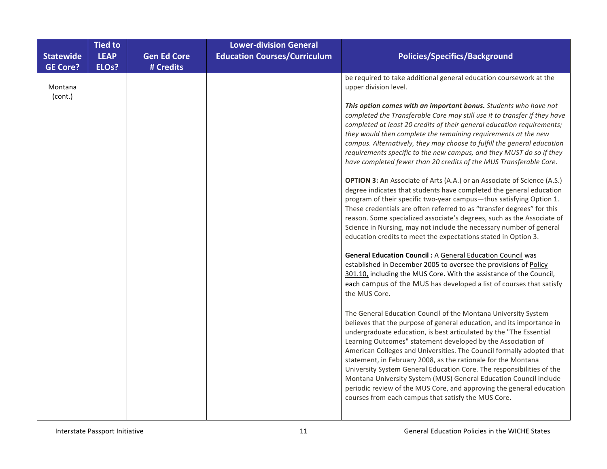|                    | <b>Tied to</b>     |                    | <b>Lower-division General</b>       |                                                                                                                                                                                                                                                                                                                                                                                                                                                                                                                                                                                                                                                                                                      |
|--------------------|--------------------|--------------------|-------------------------------------|------------------------------------------------------------------------------------------------------------------------------------------------------------------------------------------------------------------------------------------------------------------------------------------------------------------------------------------------------------------------------------------------------------------------------------------------------------------------------------------------------------------------------------------------------------------------------------------------------------------------------------------------------------------------------------------------------|
| <b>Statewide</b>   | <b>LEAP</b>        | <b>Gen Ed Core</b> | <b>Education Courses/Curriculum</b> | <b>Policies/Specifics/Background</b>                                                                                                                                                                                                                                                                                                                                                                                                                                                                                                                                                                                                                                                                 |
| <b>GE Core?</b>    | ELO <sub>s</sub> ? | # Credits          |                                     |                                                                                                                                                                                                                                                                                                                                                                                                                                                                                                                                                                                                                                                                                                      |
| Montana<br>(cont.) |                    |                    |                                     | be required to take additional general education coursework at the<br>upper division level.                                                                                                                                                                                                                                                                                                                                                                                                                                                                                                                                                                                                          |
|                    |                    |                    |                                     | This option comes with an important bonus. Students who have not<br>completed the Transferable Core may still use it to transfer if they have<br>completed at least 20 credits of their general education requirements;<br>they would then complete the remaining requirements at the new<br>campus. Alternatively, they may choose to fulfill the general education<br>requirements specific to the new campus, and they MUST do so if they<br>have completed fewer than 20 credits of the MUS Transferable Core.                                                                                                                                                                                   |
|                    |                    |                    |                                     | <b>OPTION 3: An Associate of Arts (A.A.) or an Associate of Science (A.S.)</b><br>degree indicates that students have completed the general education<br>program of their specific two-year campus-thus satisfying Option 1.<br>These credentials are often referred to as "transfer degrees" for this<br>reason. Some specialized associate's degrees, such as the Associate of<br>Science in Nursing, may not include the necessary number of general<br>education credits to meet the expectations stated in Option 3.                                                                                                                                                                            |
|                    |                    |                    |                                     | <b>General Education Council : A General Education Council was</b><br>established in December 2005 to oversee the provisions of Policy<br>301.10, including the MUS Core. With the assistance of the Council,<br>each campus of the MUS has developed a list of courses that satisfy<br>the MUS Core.                                                                                                                                                                                                                                                                                                                                                                                                |
|                    |                    |                    |                                     | The General Education Council of the Montana University System<br>believes that the purpose of general education, and its importance in<br>undergraduate education, is best articulated by the "The Essential<br>Learning Outcomes" statement developed by the Association of<br>American Colleges and Universities. The Council formally adopted that<br>statement, in February 2008, as the rationale for the Montana<br>University System General Education Core. The responsibilities of the<br>Montana University System (MUS) General Education Council include<br>periodic review of the MUS Core, and approving the general education<br>courses from each campus that satisfy the MUS Core. |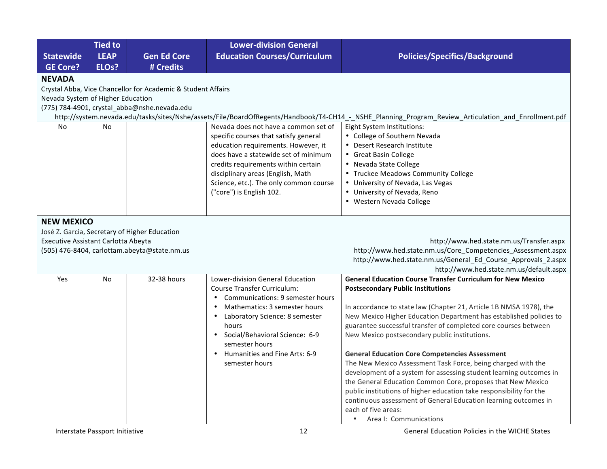| <b>Policies/Specifics/Background</b>                                                                                                                 |  |  |  |  |  |  |  |
|------------------------------------------------------------------------------------------------------------------------------------------------------|--|--|--|--|--|--|--|
|                                                                                                                                                      |  |  |  |  |  |  |  |
|                                                                                                                                                      |  |  |  |  |  |  |  |
| Crystal Abba, Vice Chancellor for Academic & Student Affairs                                                                                         |  |  |  |  |  |  |  |
| Nevada System of Higher Education                                                                                                                    |  |  |  |  |  |  |  |
| (775) 784-4901, crystal_abba@nshe.nevada.edu                                                                                                         |  |  |  |  |  |  |  |
| http://system.nevada.edu/tasks/sites/Nshe/assets/File/BoardOfRegents/Handbook/T4-CH14_-_NSHE_Planning_Program_Review_Articulation_and_Enrollment.pdf |  |  |  |  |  |  |  |
|                                                                                                                                                      |  |  |  |  |  |  |  |
|                                                                                                                                                      |  |  |  |  |  |  |  |
|                                                                                                                                                      |  |  |  |  |  |  |  |
|                                                                                                                                                      |  |  |  |  |  |  |  |
|                                                                                                                                                      |  |  |  |  |  |  |  |
| • Truckee Meadows Community College                                                                                                                  |  |  |  |  |  |  |  |
|                                                                                                                                                      |  |  |  |  |  |  |  |
|                                                                                                                                                      |  |  |  |  |  |  |  |
|                                                                                                                                                      |  |  |  |  |  |  |  |
|                                                                                                                                                      |  |  |  |  |  |  |  |
|                                                                                                                                                      |  |  |  |  |  |  |  |
|                                                                                                                                                      |  |  |  |  |  |  |  |
| http://www.hed.state.nm.us/Transfer.aspx                                                                                                             |  |  |  |  |  |  |  |
| http://www.hed.state.nm.us/Core_Competencies_Assessment.aspx                                                                                         |  |  |  |  |  |  |  |
| http://www.hed.state.nm.us/General_Ed_Course_Approvals_2.aspx                                                                                        |  |  |  |  |  |  |  |
| http://www.hed.state.nm.us/default.aspx                                                                                                              |  |  |  |  |  |  |  |
| <b>General Education Course Transfer Curriculum for New Mexico</b>                                                                                   |  |  |  |  |  |  |  |
|                                                                                                                                                      |  |  |  |  |  |  |  |
|                                                                                                                                                      |  |  |  |  |  |  |  |
| In accordance to state law (Chapter 21, Article 1B NMSA 1978), the                                                                                   |  |  |  |  |  |  |  |
| New Mexico Higher Education Department has established policies to                                                                                   |  |  |  |  |  |  |  |
| guarantee successful transfer of completed core courses between                                                                                      |  |  |  |  |  |  |  |
| New Mexico postsecondary public institutions.                                                                                                        |  |  |  |  |  |  |  |
|                                                                                                                                                      |  |  |  |  |  |  |  |
| <b>General Education Core Competencies Assessment</b><br>The New Mexico Assessment Task Force, being charged with the                                |  |  |  |  |  |  |  |
| development of a system for assessing student learning outcomes in                                                                                   |  |  |  |  |  |  |  |
|                                                                                                                                                      |  |  |  |  |  |  |  |
|                                                                                                                                                      |  |  |  |  |  |  |  |
| the General Education Common Core, proposes that New Mexico                                                                                          |  |  |  |  |  |  |  |
| public institutions of higher education take responsibility for the                                                                                  |  |  |  |  |  |  |  |
| continuous assessment of General Education learning outcomes in                                                                                      |  |  |  |  |  |  |  |
|                                                                                                                                                      |  |  |  |  |  |  |  |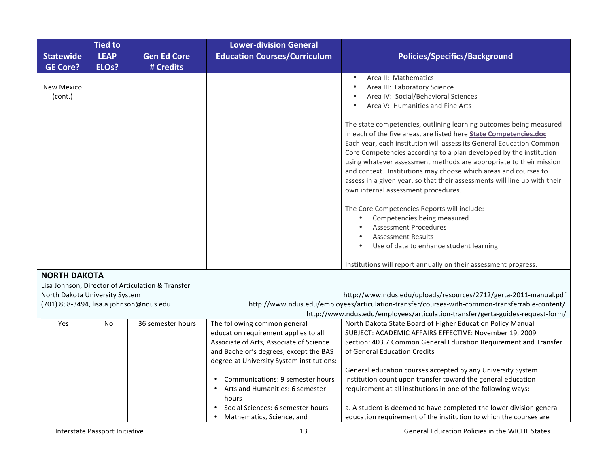| <b>Education Courses/Curriculum</b><br><b>LEAP</b><br><b>Gen Ed Core</b><br><b>Policies/Specifics/Background</b><br><b>Statewide</b><br><b>GE Core?</b><br>ELO <sub>s</sub> ?<br># Credits<br>Area II: Mathematics<br>$\bullet$<br><b>New Mexico</b><br>Area III: Laboratory Science<br>$\bullet$<br>Area IV: Social/Behavioral Sciences<br>(cont.)<br>Area V: Humanities and Fine Arts<br>The state competencies, outlining learning outcomes being measured<br>in each of the five areas, are listed here State Competencies.doc<br>Each year, each institution will assess its General Education Common<br>Core Competencies according to a plan developed by the institution<br>using whatever assessment methods are appropriate to their mission<br>and context. Institutions may choose which areas and courses to<br>assess in a given year, so that their assessments will line up with their<br>own internal assessment procedures.<br>The Core Competencies Reports will include:<br>Competencies being measured<br><b>Assessment Procedures</b> | <b>Tied to</b> | <b>Lower-division General</b> |  |
|-------------------------------------------------------------------------------------------------------------------------------------------------------------------------------------------------------------------------------------------------------------------------------------------------------------------------------------------------------------------------------------------------------------------------------------------------------------------------------------------------------------------------------------------------------------------------------------------------------------------------------------------------------------------------------------------------------------------------------------------------------------------------------------------------------------------------------------------------------------------------------------------------------------------------------------------------------------------------------------------------------------------------------------------------------------|----------------|-------------------------------|--|
|                                                                                                                                                                                                                                                                                                                                                                                                                                                                                                                                                                                                                                                                                                                                                                                                                                                                                                                                                                                                                                                             |                |                               |  |
|                                                                                                                                                                                                                                                                                                                                                                                                                                                                                                                                                                                                                                                                                                                                                                                                                                                                                                                                                                                                                                                             |                |                               |  |
|                                                                                                                                                                                                                                                                                                                                                                                                                                                                                                                                                                                                                                                                                                                                                                                                                                                                                                                                                                                                                                                             |                |                               |  |
|                                                                                                                                                                                                                                                                                                                                                                                                                                                                                                                                                                                                                                                                                                                                                                                                                                                                                                                                                                                                                                                             |                |                               |  |
|                                                                                                                                                                                                                                                                                                                                                                                                                                                                                                                                                                                                                                                                                                                                                                                                                                                                                                                                                                                                                                                             |                |                               |  |
|                                                                                                                                                                                                                                                                                                                                                                                                                                                                                                                                                                                                                                                                                                                                                                                                                                                                                                                                                                                                                                                             |                |                               |  |
|                                                                                                                                                                                                                                                                                                                                                                                                                                                                                                                                                                                                                                                                                                                                                                                                                                                                                                                                                                                                                                                             |                |                               |  |
|                                                                                                                                                                                                                                                                                                                                                                                                                                                                                                                                                                                                                                                                                                                                                                                                                                                                                                                                                                                                                                                             |                |                               |  |
|                                                                                                                                                                                                                                                                                                                                                                                                                                                                                                                                                                                                                                                                                                                                                                                                                                                                                                                                                                                                                                                             |                |                               |  |
|                                                                                                                                                                                                                                                                                                                                                                                                                                                                                                                                                                                                                                                                                                                                                                                                                                                                                                                                                                                                                                                             |                |                               |  |
|                                                                                                                                                                                                                                                                                                                                                                                                                                                                                                                                                                                                                                                                                                                                                                                                                                                                                                                                                                                                                                                             |                |                               |  |
|                                                                                                                                                                                                                                                                                                                                                                                                                                                                                                                                                                                                                                                                                                                                                                                                                                                                                                                                                                                                                                                             |                |                               |  |
|                                                                                                                                                                                                                                                                                                                                                                                                                                                                                                                                                                                                                                                                                                                                                                                                                                                                                                                                                                                                                                                             |                |                               |  |
|                                                                                                                                                                                                                                                                                                                                                                                                                                                                                                                                                                                                                                                                                                                                                                                                                                                                                                                                                                                                                                                             |                |                               |  |
|                                                                                                                                                                                                                                                                                                                                                                                                                                                                                                                                                                                                                                                                                                                                                                                                                                                                                                                                                                                                                                                             |                |                               |  |
|                                                                                                                                                                                                                                                                                                                                                                                                                                                                                                                                                                                                                                                                                                                                                                                                                                                                                                                                                                                                                                                             |                |                               |  |
|                                                                                                                                                                                                                                                                                                                                                                                                                                                                                                                                                                                                                                                                                                                                                                                                                                                                                                                                                                                                                                                             |                |                               |  |
|                                                                                                                                                                                                                                                                                                                                                                                                                                                                                                                                                                                                                                                                                                                                                                                                                                                                                                                                                                                                                                                             |                |                               |  |
| <b>Assessment Results</b>                                                                                                                                                                                                                                                                                                                                                                                                                                                                                                                                                                                                                                                                                                                                                                                                                                                                                                                                                                                                                                   |                |                               |  |
| Use of data to enhance student learning                                                                                                                                                                                                                                                                                                                                                                                                                                                                                                                                                                                                                                                                                                                                                                                                                                                                                                                                                                                                                     |                |                               |  |
| Institutions will report annually on their assessment progress.                                                                                                                                                                                                                                                                                                                                                                                                                                                                                                                                                                                                                                                                                                                                                                                                                                                                                                                                                                                             |                |                               |  |
| <b>NORTH DAKOTA</b>                                                                                                                                                                                                                                                                                                                                                                                                                                                                                                                                                                                                                                                                                                                                                                                                                                                                                                                                                                                                                                         |                |                               |  |
| Lisa Johnson, Director of Articulation & Transfer                                                                                                                                                                                                                                                                                                                                                                                                                                                                                                                                                                                                                                                                                                                                                                                                                                                                                                                                                                                                           |                |                               |  |
| http://www.ndus.edu/uploads/resources/2712/gerta-2011-manual.pdf<br>North Dakota University System                                                                                                                                                                                                                                                                                                                                                                                                                                                                                                                                                                                                                                                                                                                                                                                                                                                                                                                                                          |                |                               |  |
| (701) 858-3494, lisa.a.johnson@ndus.edu<br>http://www.ndus.edu/employees/articulation-transfer/courses-with-common-transferrable-content/                                                                                                                                                                                                                                                                                                                                                                                                                                                                                                                                                                                                                                                                                                                                                                                                                                                                                                                   |                |                               |  |
| http://www.ndus.edu/employees/articulation-transfer/gerta-guides-request-form/                                                                                                                                                                                                                                                                                                                                                                                                                                                                                                                                                                                                                                                                                                                                                                                                                                                                                                                                                                              |                |                               |  |
| 36 semester hours<br>The following common general<br>North Dakota State Board of Higher Education Policy Manual<br>Yes<br>No                                                                                                                                                                                                                                                                                                                                                                                                                                                                                                                                                                                                                                                                                                                                                                                                                                                                                                                                |                |                               |  |
| SUBJECT: ACADEMIC AFFAIRS EFFECTIVE: November 19, 2009<br>education requirement applies to all                                                                                                                                                                                                                                                                                                                                                                                                                                                                                                                                                                                                                                                                                                                                                                                                                                                                                                                                                              |                |                               |  |
| Associate of Arts, Associate of Science<br>Section: 403.7 Common General Education Requirement and Transfer                                                                                                                                                                                                                                                                                                                                                                                                                                                                                                                                                                                                                                                                                                                                                                                                                                                                                                                                                 |                |                               |  |
| and Bachelor's degrees, except the BAS<br>of General Education Credits                                                                                                                                                                                                                                                                                                                                                                                                                                                                                                                                                                                                                                                                                                                                                                                                                                                                                                                                                                                      |                |                               |  |
| degree at University System institutions:                                                                                                                                                                                                                                                                                                                                                                                                                                                                                                                                                                                                                                                                                                                                                                                                                                                                                                                                                                                                                   |                |                               |  |
| General education courses accepted by any University System                                                                                                                                                                                                                                                                                                                                                                                                                                                                                                                                                                                                                                                                                                                                                                                                                                                                                                                                                                                                 |                |                               |  |
| Communications: 9 semester hours<br>institution count upon transfer toward the general education                                                                                                                                                                                                                                                                                                                                                                                                                                                                                                                                                                                                                                                                                                                                                                                                                                                                                                                                                            |                |                               |  |
| • Arts and Humanities: 6 semester<br>requirement at all institutions in one of the following ways:                                                                                                                                                                                                                                                                                                                                                                                                                                                                                                                                                                                                                                                                                                                                                                                                                                                                                                                                                          |                |                               |  |
| hours<br>Social Sciences: 6 semester hours                                                                                                                                                                                                                                                                                                                                                                                                                                                                                                                                                                                                                                                                                                                                                                                                                                                                                                                                                                                                                  |                |                               |  |
| a. A student is deemed to have completed the lower division general<br>education requirement of the institution to which the courses are<br>Mathematics, Science, and                                                                                                                                                                                                                                                                                                                                                                                                                                                                                                                                                                                                                                                                                                                                                                                                                                                                                       |                |                               |  |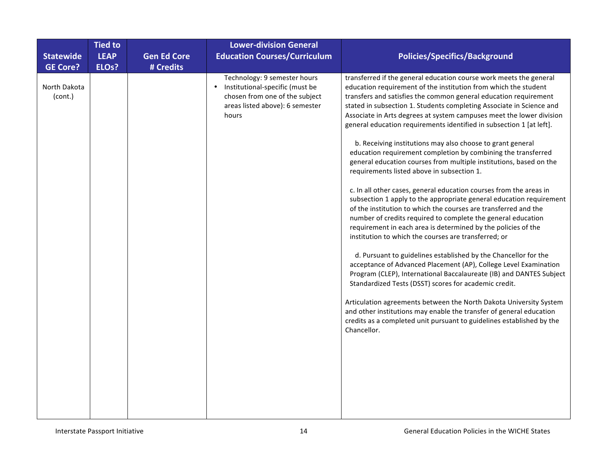| <b>Statewide</b><br><b>GE Core?</b> | <b>Tied to</b><br><b>LEAP</b><br>ELOs? | <b>Gen Ed Core</b><br># Credits | <b>Lower-division General</b><br><b>Education Courses/Curriculum</b>                                                                                       | <b>Policies/Specifics/Background</b>                                                                                                                                                                                                                                                                                                                                                                                                                                                                                                                                                                                                                                                                                                                                                                                                                                                                                                                                                                                                                                                                                                                                                                                                                                                                                                                                                                                                                                                                                                                                                                      |
|-------------------------------------|----------------------------------------|---------------------------------|------------------------------------------------------------------------------------------------------------------------------------------------------------|-----------------------------------------------------------------------------------------------------------------------------------------------------------------------------------------------------------------------------------------------------------------------------------------------------------------------------------------------------------------------------------------------------------------------------------------------------------------------------------------------------------------------------------------------------------------------------------------------------------------------------------------------------------------------------------------------------------------------------------------------------------------------------------------------------------------------------------------------------------------------------------------------------------------------------------------------------------------------------------------------------------------------------------------------------------------------------------------------------------------------------------------------------------------------------------------------------------------------------------------------------------------------------------------------------------------------------------------------------------------------------------------------------------------------------------------------------------------------------------------------------------------------------------------------------------------------------------------------------------|
| North Dakota<br>(cont.)             |                                        |                                 | Technology: 9 semester hours<br>Institutional-specific (must be<br>$\bullet$<br>chosen from one of the subject<br>areas listed above): 6 semester<br>hours | transferred if the general education course work meets the general<br>education requirement of the institution from which the student<br>transfers and satisfies the common general education requirement<br>stated in subsection 1. Students completing Associate in Science and<br>Associate in Arts degrees at system campuses meet the lower division<br>general education requirements identified in subsection 1 [at left].<br>b. Receiving institutions may also choose to grant general<br>education requirement completion by combining the transferred<br>general education courses from multiple institutions, based on the<br>requirements listed above in subsection 1.<br>c. In all other cases, general education courses from the areas in<br>subsection 1 apply to the appropriate general education requirement<br>of the institution to which the courses are transferred and the<br>number of credits required to complete the general education<br>requirement in each area is determined by the policies of the<br>institution to which the courses are transferred; or<br>d. Pursuant to guidelines established by the Chancellor for the<br>acceptance of Advanced Placement (AP), College Level Examination<br>Program (CLEP), International Baccalaureate (IB) and DANTES Subject<br>Standardized Tests (DSST) scores for academic credit.<br>Articulation agreements between the North Dakota University System<br>and other institutions may enable the transfer of general education<br>credits as a completed unit pursuant to guidelines established by the<br>Chancellor. |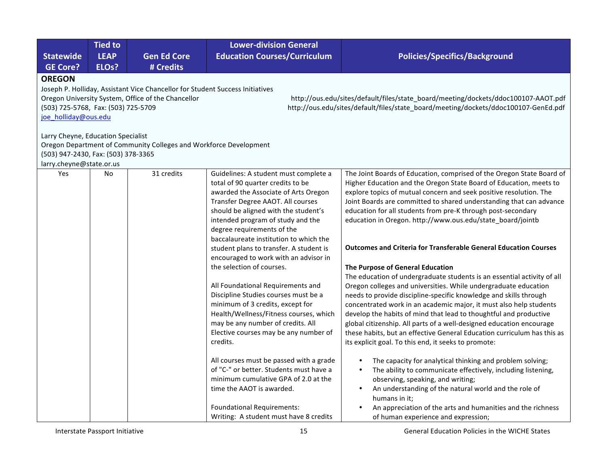|                                     | <b>Tied to</b>                     |                                                                               | <b>Lower-division General</b>                                               |                                                                                                                                         |  |  |  |
|-------------------------------------|------------------------------------|-------------------------------------------------------------------------------|-----------------------------------------------------------------------------|-----------------------------------------------------------------------------------------------------------------------------------------|--|--|--|
| <b>Statewide</b>                    | <b>LEAP</b>                        | <b>Gen Ed Core</b>                                                            | <b>Education Courses/Curriculum</b>                                         | <b>Policies/Specifics/Background</b>                                                                                                    |  |  |  |
| <b>GE Core?</b><br><b>OREGON</b>    | ELO <sub>s</sub> ?                 | # Credits                                                                     |                                                                             |                                                                                                                                         |  |  |  |
|                                     |                                    | Joseph P. Holliday, Assistant Vice Chancellor for Student Success Initiatives |                                                                             |                                                                                                                                         |  |  |  |
|                                     |                                    | Oregon University System, Office of the Chancellor                            |                                                                             | http://ous.edu/sites/default/files/state_board/meeting/dockets/ddoc100107-AAOT.pdf                                                      |  |  |  |
| (503) 725-5768, Fax: (503) 725-5709 |                                    |                                                                               |                                                                             | http://ous.edu/sites/default/files/state_board/meeting/dockets/ddoc100107-GenEd.pdf                                                     |  |  |  |
| joe holliday@ous.edu                |                                    |                                                                               |                                                                             |                                                                                                                                         |  |  |  |
|                                     | Larry Cheyne, Education Specialist |                                                                               |                                                                             |                                                                                                                                         |  |  |  |
|                                     |                                    | Oregon Department of Community Colleges and Workforce Development             |                                                                             |                                                                                                                                         |  |  |  |
| (503) 947-2430, Fax: (503) 378-3365 |                                    |                                                                               |                                                                             |                                                                                                                                         |  |  |  |
| larry.cheyne@state.or.us            |                                    |                                                                               |                                                                             |                                                                                                                                         |  |  |  |
| Yes                                 | No                                 | 31 credits                                                                    | Guidelines: A student must complete a                                       | The Joint Boards of Education, comprised of the Oregon State Board of                                                                   |  |  |  |
|                                     |                                    |                                                                               | total of 90 quarter credits to be                                           | Higher Education and the Oregon State Board of Education, meets to                                                                      |  |  |  |
|                                     |                                    |                                                                               | awarded the Associate of Arts Oregon                                        | explore topics of mutual concern and seek positive resolution. The                                                                      |  |  |  |
|                                     |                                    |                                                                               | Transfer Degree AAOT. All courses                                           | Joint Boards are committed to shared understanding that can advance                                                                     |  |  |  |
|                                     |                                    |                                                                               | should be aligned with the student's<br>intended program of study and the   | education for all students from pre-K through post-secondary<br>education in Oregon. http://www.ous.edu/state_board/jointb              |  |  |  |
|                                     |                                    |                                                                               | degree requirements of the                                                  |                                                                                                                                         |  |  |  |
|                                     |                                    |                                                                               | baccalaureate institution to which the                                      |                                                                                                                                         |  |  |  |
|                                     |                                    |                                                                               | student plans to transfer. A student is                                     | <b>Outcomes and Criteria for Transferable General Education Courses</b>                                                                 |  |  |  |
|                                     |                                    |                                                                               | encouraged to work with an advisor in                                       |                                                                                                                                         |  |  |  |
|                                     |                                    |                                                                               | the selection of courses.                                                   | The Purpose of General Education                                                                                                        |  |  |  |
|                                     |                                    |                                                                               |                                                                             | The education of undergraduate students is an essential activity of all                                                                 |  |  |  |
|                                     |                                    |                                                                               | All Foundational Requirements and                                           | Oregon colleges and universities. While undergraduate education                                                                         |  |  |  |
|                                     |                                    |                                                                               | Discipline Studies courses must be a<br>minimum of 3 credits, except for    | needs to provide discipline-specific knowledge and skills through                                                                       |  |  |  |
|                                     |                                    |                                                                               | Health/Wellness/Fitness courses, which                                      | concentrated work in an academic major, it must also help students<br>develop the habits of mind that lead to thoughtful and productive |  |  |  |
|                                     |                                    |                                                                               | may be any number of credits. All                                           | global citizenship. All parts of a well-designed education encourage                                                                    |  |  |  |
|                                     |                                    |                                                                               | Elective courses may be any number of                                       | these habits, but an effective General Education curriculum has this as                                                                 |  |  |  |
|                                     |                                    |                                                                               | credits.                                                                    | its explicit goal. To this end, it seeks to promote:                                                                                    |  |  |  |
|                                     |                                    |                                                                               | All courses must be passed with a grade                                     | The capacity for analytical thinking and problem solving;                                                                               |  |  |  |
|                                     |                                    |                                                                               | of "C-" or better. Students must have a                                     | The ability to communicate effectively, including listening,                                                                            |  |  |  |
|                                     |                                    |                                                                               | minimum cumulative GPA of 2.0 at the                                        | observing, speaking, and writing;                                                                                                       |  |  |  |
|                                     |                                    |                                                                               | time the AAOT is awarded.                                                   | An understanding of the natural world and the role of                                                                                   |  |  |  |
|                                     |                                    |                                                                               |                                                                             | humans in it;                                                                                                                           |  |  |  |
|                                     |                                    |                                                                               | <b>Foundational Requirements:</b><br>Writing: A student must have 8 credits | An appreciation of the arts and humanities and the richness<br>of human experience and expression;                                      |  |  |  |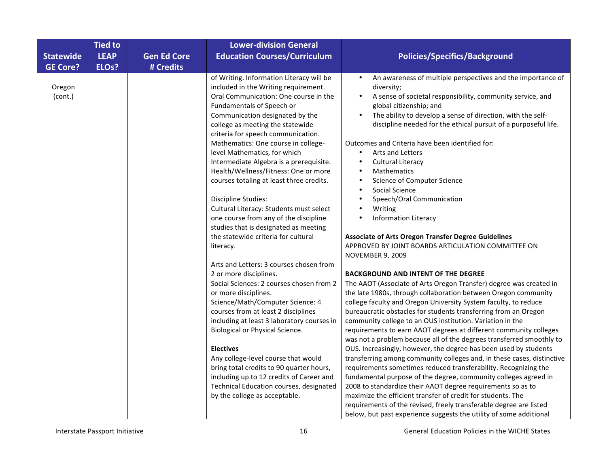|                   | <b>Tied to</b>     |                    | <b>Lower-division General</b>                                                                                                                                                                                                                                                                                                                                                                                                                                                                                                                                                                                                        |                                                                                                                                                                                                                                                                                                                                                                                                                                                                                                                                                                                                                                                                                                                                                                                                                                                                                                                                                                                                                                                                                                                                                                                                                                                 |
|-------------------|--------------------|--------------------|--------------------------------------------------------------------------------------------------------------------------------------------------------------------------------------------------------------------------------------------------------------------------------------------------------------------------------------------------------------------------------------------------------------------------------------------------------------------------------------------------------------------------------------------------------------------------------------------------------------------------------------|-------------------------------------------------------------------------------------------------------------------------------------------------------------------------------------------------------------------------------------------------------------------------------------------------------------------------------------------------------------------------------------------------------------------------------------------------------------------------------------------------------------------------------------------------------------------------------------------------------------------------------------------------------------------------------------------------------------------------------------------------------------------------------------------------------------------------------------------------------------------------------------------------------------------------------------------------------------------------------------------------------------------------------------------------------------------------------------------------------------------------------------------------------------------------------------------------------------------------------------------------|
| <b>Statewide</b>  | <b>LEAP</b>        | <b>Gen Ed Core</b> | <b>Education Courses/Curriculum</b>                                                                                                                                                                                                                                                                                                                                                                                                                                                                                                                                                                                                  | <b>Policies/Specifics/Background</b>                                                                                                                                                                                                                                                                                                                                                                                                                                                                                                                                                                                                                                                                                                                                                                                                                                                                                                                                                                                                                                                                                                                                                                                                            |
| <b>GE Core?</b>   | ELO <sub>s</sub> ? | # Credits          |                                                                                                                                                                                                                                                                                                                                                                                                                                                                                                                                                                                                                                      |                                                                                                                                                                                                                                                                                                                                                                                                                                                                                                                                                                                                                                                                                                                                                                                                                                                                                                                                                                                                                                                                                                                                                                                                                                                 |
| Oregon<br>(cont.) |                    |                    | of Writing. Information Literacy will be<br>included in the Writing requirement.<br>Oral Communication: One course in the<br>Fundamentals of Speech or<br>Communication designated by the<br>college as meeting the statewide<br>criteria for speech communication.<br>Mathematics: One course in college-<br>level Mathematics, for which<br>Intermediate Algebra is a prerequisite.<br>Health/Wellness/Fitness: One or more<br>courses totaling at least three credits.<br><b>Discipline Studies:</b><br>Cultural Literacy: Students must select<br>one course from any of the discipline<br>studies that is designated as meeting | An awareness of multiple perspectives and the importance of<br>$\bullet$<br>diversity;<br>A sense of societal responsibility, community service, and<br>$\bullet$<br>global citizenship; and<br>The ability to develop a sense of direction, with the self-<br>$\bullet$<br>discipline needed for the ethical pursuit of a purposeful life.<br>Outcomes and Criteria have been identified for:<br>Arts and Letters<br>$\bullet$<br><b>Cultural Literacy</b><br>٠<br>Mathematics<br>$\bullet$<br>Science of Computer Science<br>$\bullet$<br>Social Science<br>$\bullet$<br>Speech/Oral Communication<br>Writing<br><b>Information Literacy</b>                                                                                                                                                                                                                                                                                                                                                                                                                                                                                                                                                                                                  |
|                   |                    |                    | the statewide criteria for cultural<br>literacy.<br>Arts and Letters: 3 courses chosen from<br>2 or more disciplines.<br>Social Sciences: 2 courses chosen from 2<br>or more disciplines.<br>Science/Math/Computer Science: 4<br>courses from at least 2 disciplines<br>including at least 3 laboratory courses in<br>Biological or Physical Science.<br><b>Electives</b><br>Any college-level course that would<br>bring total credits to 90 quarter hours,<br>including up to 12 credits of Career and<br>Technical Education courses, designated<br>by the college as acceptable.                                                 | <b>Associate of Arts Oregon Transfer Degree Guidelines</b><br>APPROVED BY JOINT BOARDS ARTICULATION COMMITTEE ON<br><b>NOVEMBER 9, 2009</b><br><b>BACKGROUND AND INTENT OF THE DEGREE</b><br>The AAOT (Associate of Arts Oregon Transfer) degree was created in<br>the late 1980s, through collaboration between Oregon community<br>college faculty and Oregon University System faculty, to reduce<br>bureaucratic obstacles for students transferring from an Oregon<br>community college to an OUS institution. Variation in the<br>requirements to earn AAOT degrees at different community colleges<br>was not a problem because all of the degrees transferred smoothly to<br>OUS. Increasingly, however, the degree has been used by students<br>transferring among community colleges and, in these cases, distinctive<br>requirements sometimes reduced transferability. Recognizing the<br>fundamental purpose of the degree, community colleges agreed in<br>2008 to standardize their AAOT degree requirements so as to<br>maximize the efficient transfer of credit for students. The<br>requirements of the revised, freely transferable degree are listed<br>below, but past experience suggests the utility of some additional |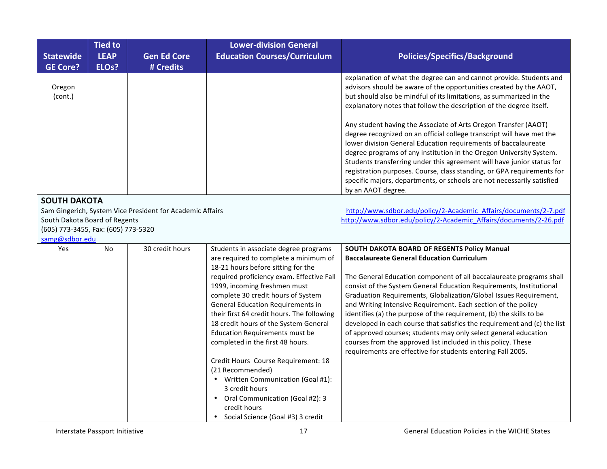|                                                                                             | <b>Tied to</b><br><b>LEAP</b> |                                                           | <b>Lower-division General</b><br><b>Education Courses/Curriculum</b>                                                                                                                                                                                                                                                                                                                                                                                                                                                                                                                                                                                                   |                                                                                                                                                                                                                                                                                                                                                                                                                                                                                                                                                                                                                                                                                                                                                                                                                                  |
|---------------------------------------------------------------------------------------------|-------------------------------|-----------------------------------------------------------|------------------------------------------------------------------------------------------------------------------------------------------------------------------------------------------------------------------------------------------------------------------------------------------------------------------------------------------------------------------------------------------------------------------------------------------------------------------------------------------------------------------------------------------------------------------------------------------------------------------------------------------------------------------------|----------------------------------------------------------------------------------------------------------------------------------------------------------------------------------------------------------------------------------------------------------------------------------------------------------------------------------------------------------------------------------------------------------------------------------------------------------------------------------------------------------------------------------------------------------------------------------------------------------------------------------------------------------------------------------------------------------------------------------------------------------------------------------------------------------------------------------|
| <b>Statewide</b><br><b>GE Core?</b>                                                         | ELO <sub>s</sub> ?            | <b>Gen Ed Core</b><br># Credits                           |                                                                                                                                                                                                                                                                                                                                                                                                                                                                                                                                                                                                                                                                        | <b>Policies/Specifics/Background</b>                                                                                                                                                                                                                                                                                                                                                                                                                                                                                                                                                                                                                                                                                                                                                                                             |
| Oregon<br>(cont.)                                                                           |                               |                                                           |                                                                                                                                                                                                                                                                                                                                                                                                                                                                                                                                                                                                                                                                        | explanation of what the degree can and cannot provide. Students and<br>advisors should be aware of the opportunities created by the AAOT,<br>but should also be mindful of its limitations, as summarized in the<br>explanatory notes that follow the description of the degree itself.<br>Any student having the Associate of Arts Oregon Transfer (AAOT)<br>degree recognized on an official college transcript will have met the<br>lower division General Education requirements of baccalaureate<br>degree programs of any institution in the Oregon University System.<br>Students transferring under this agreement will have junior status for<br>registration purposes. Course, class standing, or GPA requirements for<br>specific majors, departments, or schools are not necessarily satisfied<br>by an AAOT degree. |
| <b>SOUTH DAKOTA</b><br>South Dakota Board of Regents<br>(605) 773-3455, Fax: (605) 773-5320 |                               | Sam Gingerich, System Vice President for Academic Affairs |                                                                                                                                                                                                                                                                                                                                                                                                                                                                                                                                                                                                                                                                        | http://www.sdbor.edu/policy/2-Academic_Affairs/documents/2-7.pdf<br>http://www.sdbor.edu/policy/2-Academic Affairs/documents/2-26.pdf                                                                                                                                                                                                                                                                                                                                                                                                                                                                                                                                                                                                                                                                                            |
| samg@sdbor.edu                                                                              |                               |                                                           |                                                                                                                                                                                                                                                                                                                                                                                                                                                                                                                                                                                                                                                                        |                                                                                                                                                                                                                                                                                                                                                                                                                                                                                                                                                                                                                                                                                                                                                                                                                                  |
| Yes                                                                                         | No                            | 30 credit hours                                           | Students in associate degree programs<br>are required to complete a minimum of<br>18-21 hours before sitting for the<br>required proficiency exam. Effective Fall<br>1999, incoming freshmen must<br>complete 30 credit hours of System<br><b>General Education Requirements in</b><br>their first 64 credit hours. The following<br>18 credit hours of the System General<br><b>Education Requirements must be</b><br>completed in the first 48 hours.<br>Credit Hours Course Requirement: 18<br>(21 Recommended)<br>• Written Communication (Goal #1):<br>3 credit hours<br>• Oral Communication (Goal #2): 3<br>credit hours<br>• Social Science (Goal #3) 3 credit | SOUTH DAKOTA BOARD OF REGENTS Policy Manual<br><b>Baccalaureate General Education Curriculum</b><br>The General Education component of all baccalaureate programs shall<br>consist of the System General Education Requirements, Institutional<br>Graduation Requirements, Globalization/Global Issues Requirement,<br>and Writing Intensive Requirement. Each section of the policy<br>identifies (a) the purpose of the requirement, (b) the skills to be<br>developed in each course that satisfies the requirement and (c) the list<br>of approved courses; students may only select general education<br>courses from the approved list included in this policy. These<br>requirements are effective for students entering Fall 2005.                                                                                       |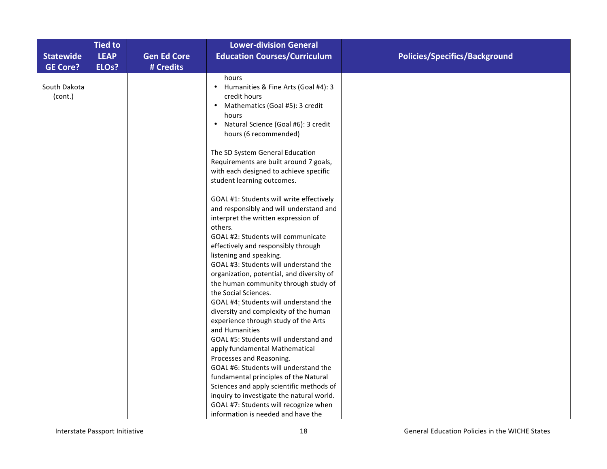| <b>Statewide</b>        | <b>Tied to</b><br><b>LEAP</b> | <b>Gen Ed Core</b> | <b>Lower-division General</b><br><b>Education Courses/Curriculum</b>                                                                                                                               | <b>Policies/Specifics/Background</b> |
|-------------------------|-------------------------------|--------------------|----------------------------------------------------------------------------------------------------------------------------------------------------------------------------------------------------|--------------------------------------|
| <b>GE Core?</b>         | ELO <sub>s</sub> ?            | # Credits          |                                                                                                                                                                                                    |                                      |
| South Dakota<br>(cont.) |                               |                    | hours<br>Humanities & Fine Arts (Goal #4): 3<br>credit hours<br>Mathematics (Goal #5): 3 credit<br>$\bullet$<br>hours<br>Natural Science (Goal #6): 3 credit<br>$\bullet$<br>hours (6 recommended) |                                      |
|                         |                               |                    | The SD System General Education<br>Requirements are built around 7 goals,<br>with each designed to achieve specific<br>student learning outcomes.                                                  |                                      |
|                         |                               |                    | GOAL #1: Students will write effectively<br>and responsibly and will understand and<br>interpret the written expression of<br>others.                                                              |                                      |
|                         |                               |                    | GOAL #2: Students will communicate<br>effectively and responsibly through<br>listening and speaking.                                                                                               |                                      |
|                         |                               |                    | GOAL #3: Students will understand the<br>organization, potential, and diversity of<br>the human community through study of                                                                         |                                      |
|                         |                               |                    | the Social Sciences.<br>GOAL #4: Students will understand the<br>diversity and complexity of the human<br>experience through study of the Arts                                                     |                                      |
|                         |                               |                    | and Humanities<br>GOAL #5: Students will understand and<br>apply fundamental Mathematical                                                                                                          |                                      |
|                         |                               |                    | Processes and Reasoning.<br>GOAL #6: Students will understand the                                                                                                                                  |                                      |
|                         |                               |                    | fundamental principles of the Natural                                                                                                                                                              |                                      |
|                         |                               |                    | Sciences and apply scientific methods of<br>inquiry to investigate the natural world.                                                                                                              |                                      |
|                         |                               |                    | GOAL #7: Students will recognize when<br>information is needed and have the                                                                                                                        |                                      |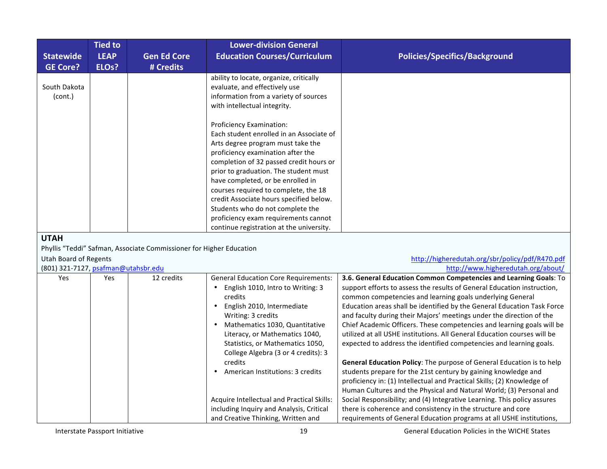| <b>Statewide</b><br><b>GE Core?</b> | <b>Tied to</b><br><b>LEAP</b><br>ELO <sub>s</sub> ? | <b>Gen Ed Core</b><br># Credits | <b>Lower-division General</b><br><b>Education Courses/Curriculum</b>                                                                                                                                                                                                                                                                                                                                                                                                               | <b>Policies/Specifics/Background</b> |
|-------------------------------------|-----------------------------------------------------|---------------------------------|------------------------------------------------------------------------------------------------------------------------------------------------------------------------------------------------------------------------------------------------------------------------------------------------------------------------------------------------------------------------------------------------------------------------------------------------------------------------------------|--------------------------------------|
| South Dakota<br>(cont.)             |                                                     |                                 | ability to locate, organize, critically<br>evaluate, and effectively use<br>information from a variety of sources<br>with intellectual integrity.                                                                                                                                                                                                                                                                                                                                  |                                      |
|                                     |                                                     |                                 | Proficiency Examination:<br>Each student enrolled in an Associate of<br>Arts degree program must take the<br>proficiency examination after the<br>completion of 32 passed credit hours or<br>prior to graduation. The student must<br>have completed, or be enrolled in<br>courses required to complete, the 18<br>credit Associate hours specified below.<br>Students who do not complete the<br>proficiency exam requirements cannot<br>continue registration at the university. |                                      |

#### **UTAH**

Phyllis "Teddi" Safman, Associate Commissioner for Higher Education

# Utah(Board(of(Regents(((((((((((((((((((((((((((((((((((((((((((((((((((((((((((((((((((((((((((((((((((((((((((((((((((((((((((((((((((((((((((((((((((((((((((((((((((((((((((((((((((((((((((((http://higheredutah.org/sbr/policy/pdf/R470.pdf

| (801) 321-7127, psafman@utahsbr.edu |            |            |                                              | http://www.higheredutah.org/about/                                                                                                   |
|-------------------------------------|------------|------------|----------------------------------------------|--------------------------------------------------------------------------------------------------------------------------------------|
| <b>Yes</b>                          | <b>Yes</b> | 12 credits | <b>General Education Core Requirements:</b>  | 3.6. General Education Common Competencies and Learning Goals: To                                                                    |
|                                     |            |            | English 1010, Intro to Writing: 3<br>credits | support efforts to assess the results of General Education instruction,<br>common competencies and learning goals underlying General |
|                                     |            |            | English 2010, Intermediate                   | Education areas shall be identified by the General Education Task Force                                                              |
|                                     |            |            | Writing: 3 credits                           | and faculty during their Majors' meetings under the direction of the                                                                 |
|                                     |            |            | Mathematics 1030, Quantitative               | Chief Academic Officers. These competencies and learning goals will be                                                               |
|                                     |            |            | Literacy, or Mathematics 1040,               | utilized at all USHE institutions. All General Education courses will be                                                             |
|                                     |            |            | Statistics, or Mathematics 1050,             | expected to address the identified competencies and learning goals.                                                                  |
|                                     |            |            | College Algebra (3 or 4 credits): 3          |                                                                                                                                      |
|                                     |            |            | credits                                      | General Education Policy: The purpose of General Education is to help                                                                |
|                                     |            |            | American Institutions: 3 credits             | students prepare for the 21st century by gaining knowledge and                                                                       |
|                                     |            |            |                                              | proficiency in: (1) Intellectual and Practical Skills; (2) Knowledge of                                                              |
|                                     |            |            |                                              | Human Cultures and the Physical and Natural World; (3) Personal and                                                                  |
|                                     |            |            | Acquire Intellectual and Practical Skills:   | Social Responsibility; and (4) Integrative Learning. This policy assures                                                             |
|                                     |            |            | including Inquiry and Analysis, Critical     | there is coherence and consistency in the structure and core                                                                         |
|                                     |            |            | and Creative Thinking, Written and           | requirements of General Education programs at all USHE institutions,                                                                 |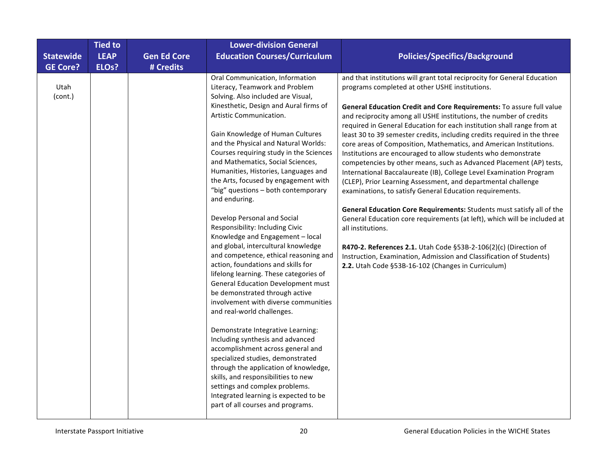|                  | <b>Tied to</b>     |                    | <b>Lower-division General</b>                                                                                                                                                                                                                                                                                                                                                                                                                                                                                                                                                                                                                                                                                                                                                                                                                                                 |                                                                                                                                                                                                                                                                                                                                                                                                                                                                                                                                                                                                                                                                                                                                                                                                                                                                                                                                                                                                                                                                                                                                                                                                                             |
|------------------|--------------------|--------------------|-------------------------------------------------------------------------------------------------------------------------------------------------------------------------------------------------------------------------------------------------------------------------------------------------------------------------------------------------------------------------------------------------------------------------------------------------------------------------------------------------------------------------------------------------------------------------------------------------------------------------------------------------------------------------------------------------------------------------------------------------------------------------------------------------------------------------------------------------------------------------------|-----------------------------------------------------------------------------------------------------------------------------------------------------------------------------------------------------------------------------------------------------------------------------------------------------------------------------------------------------------------------------------------------------------------------------------------------------------------------------------------------------------------------------------------------------------------------------------------------------------------------------------------------------------------------------------------------------------------------------------------------------------------------------------------------------------------------------------------------------------------------------------------------------------------------------------------------------------------------------------------------------------------------------------------------------------------------------------------------------------------------------------------------------------------------------------------------------------------------------|
| <b>Statewide</b> | <b>LEAP</b>        | <b>Gen Ed Core</b> | <b>Education Courses/Curriculum</b>                                                                                                                                                                                                                                                                                                                                                                                                                                                                                                                                                                                                                                                                                                                                                                                                                                           | <b>Policies/Specifics/Background</b>                                                                                                                                                                                                                                                                                                                                                                                                                                                                                                                                                                                                                                                                                                                                                                                                                                                                                                                                                                                                                                                                                                                                                                                        |
| <b>GE Core?</b>  | ELO <sub>s</sub> ? | # Credits          |                                                                                                                                                                                                                                                                                                                                                                                                                                                                                                                                                                                                                                                                                                                                                                                                                                                                               |                                                                                                                                                                                                                                                                                                                                                                                                                                                                                                                                                                                                                                                                                                                                                                                                                                                                                                                                                                                                                                                                                                                                                                                                                             |
| Utah<br>(cont.)  |                    |                    | Oral Communication, Information<br>Literacy, Teamwork and Problem<br>Solving. Also included are Visual,<br>Kinesthetic, Design and Aural firms of<br>Artistic Communication.<br>Gain Knowledge of Human Cultures<br>and the Physical and Natural Worlds:<br>Courses requiring study in the Sciences<br>and Mathematics, Social Sciences,<br>Humanities, Histories, Languages and<br>the Arts, focused by engagement with<br>"big" questions - both contemporary<br>and enduring.<br>Develop Personal and Social<br>Responsibility: Including Civic<br>Knowledge and Engagement - local<br>and global, intercultural knowledge<br>and competence, ethical reasoning and<br>action, foundations and skills for<br>lifelong learning. These categories of<br><b>General Education Development must</b><br>be demonstrated through active<br>involvement with diverse communities | and that institutions will grant total reciprocity for General Education<br>programs completed at other USHE institutions.<br>General Education Credit and Core Requirements: To assure full value<br>and reciprocity among all USHE institutions, the number of credits<br>required in General Education for each institution shall range from at<br>least 30 to 39 semester credits, including credits required in the three<br>core areas of Composition, Mathematics, and American Institutions.<br>Institutions are encouraged to allow students who demonstrate<br>competencies by other means, such as Advanced Placement (AP) tests,<br>International Baccalaureate (IB), College Level Examination Program<br>(CLEP), Prior Learning Assessment, and departmental challenge<br>examinations, to satisfy General Education requirements.<br>General Education Core Requirements: Students must satisfy all of the<br>General Education core requirements (at left), which will be included at<br>all institutions.<br>R470-2. References 2.1. Utah Code §53B-2-106(2)(c) (Direction of<br>Instruction, Examination, Admission and Classification of Students)<br>2.2. Utah Code §53B-16-102 (Changes in Curriculum) |
|                  |                    |                    | and real-world challenges.<br>Demonstrate Integrative Learning:<br>Including synthesis and advanced<br>accomplishment across general and<br>specialized studies, demonstrated<br>through the application of knowledge,<br>skills, and responsibilities to new<br>settings and complex problems.<br>Integrated learning is expected to be<br>part of all courses and programs.                                                                                                                                                                                                                                                                                                                                                                                                                                                                                                 |                                                                                                                                                                                                                                                                                                                                                                                                                                                                                                                                                                                                                                                                                                                                                                                                                                                                                                                                                                                                                                                                                                                                                                                                                             |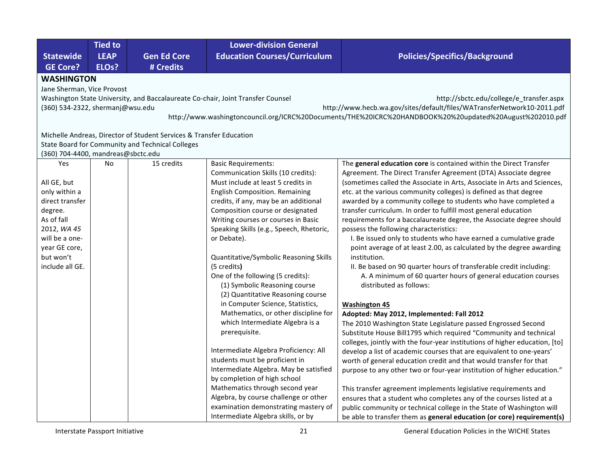|                                    | <b>Tied to</b>                                                                                                              |                                                                                                                         | <b>Lower-division General</b>                                                                                                                                                          |                                                                                                                                                                                                                                                                                           |  |  |  |  |
|------------------------------------|-----------------------------------------------------------------------------------------------------------------------------|-------------------------------------------------------------------------------------------------------------------------|----------------------------------------------------------------------------------------------------------------------------------------------------------------------------------------|-------------------------------------------------------------------------------------------------------------------------------------------------------------------------------------------------------------------------------------------------------------------------------------------|--|--|--|--|
| <b>Statewide</b>                   | <b>LEAP</b>                                                                                                                 | <b>Gen Ed Core</b>                                                                                                      | <b>Education Courses/Curriculum</b>                                                                                                                                                    | <b>Policies/Specifics/Background</b>                                                                                                                                                                                                                                                      |  |  |  |  |
| <b>GE Core?</b>                    | ELO <sub>s</sub> ?                                                                                                          | # Credits                                                                                                               |                                                                                                                                                                                        |                                                                                                                                                                                                                                                                                           |  |  |  |  |
|                                    | <b>WASHINGTON</b>                                                                                                           |                                                                                                                         |                                                                                                                                                                                        |                                                                                                                                                                                                                                                                                           |  |  |  |  |
| Jane Sherman, Vice Provost         |                                                                                                                             |                                                                                                                         |                                                                                                                                                                                        |                                                                                                                                                                                                                                                                                           |  |  |  |  |
|                                    | http://sbctc.edu/college/e_transfer.aspx<br>Washington State University, and Baccalaureate Co-chair, Joint Transfer Counsel |                                                                                                                         |                                                                                                                                                                                        |                                                                                                                                                                                                                                                                                           |  |  |  |  |
| (360) 534-2322, shermanj@wsu.edu   |                                                                                                                             |                                                                                                                         |                                                                                                                                                                                        | http://www.hecb.wa.gov/sites/default/files/WATransferNetwork10-2011.pdf                                                                                                                                                                                                                   |  |  |  |  |
|                                    |                                                                                                                             |                                                                                                                         |                                                                                                                                                                                        | http://www.washingtoncouncil.org/ICRC%20Documents/THE%20ICRC%20HANDBOOK%20%20updated%20August%202010.pdf                                                                                                                                                                                  |  |  |  |  |
|                                    |                                                                                                                             |                                                                                                                         |                                                                                                                                                                                        |                                                                                                                                                                                                                                                                                           |  |  |  |  |
|                                    |                                                                                                                             | Michelle Andreas, Director of Student Services & Transfer Education<br>State Board for Community and Technical Colleges |                                                                                                                                                                                        |                                                                                                                                                                                                                                                                                           |  |  |  |  |
| (360) 704-4400, mandreas@sbctc.edu |                                                                                                                             |                                                                                                                         |                                                                                                                                                                                        |                                                                                                                                                                                                                                                                                           |  |  |  |  |
| Yes                                | No                                                                                                                          | 15 credits                                                                                                              | <b>Basic Requirements:</b>                                                                                                                                                             | The general education core is contained within the Direct Transfer                                                                                                                                                                                                                        |  |  |  |  |
|                                    |                                                                                                                             |                                                                                                                         | Communication Skills (10 credits):                                                                                                                                                     | Agreement. The Direct Transfer Agreement (DTA) Associate degree                                                                                                                                                                                                                           |  |  |  |  |
| All GE, but                        |                                                                                                                             |                                                                                                                         | Must include at least 5 credits in                                                                                                                                                     | (sometimes called the Associate in Arts, Associate in Arts and Sciences,                                                                                                                                                                                                                  |  |  |  |  |
| only within a                      |                                                                                                                             |                                                                                                                         | <b>English Composition. Remaining</b>                                                                                                                                                  | etc. at the various community colleges) is defined as that degree                                                                                                                                                                                                                         |  |  |  |  |
| direct transfer                    |                                                                                                                             |                                                                                                                         | credits, if any, may be an additional                                                                                                                                                  | awarded by a community college to students who have completed a                                                                                                                                                                                                                           |  |  |  |  |
| degree.                            |                                                                                                                             |                                                                                                                         | Composition course or designated                                                                                                                                                       | transfer curriculum. In order to fulfill most general education                                                                                                                                                                                                                           |  |  |  |  |
| As of fall                         |                                                                                                                             |                                                                                                                         | Writing courses or courses in Basic                                                                                                                                                    | requirements for a baccalaureate degree, the Associate degree should                                                                                                                                                                                                                      |  |  |  |  |
| 2012, WA 45                        |                                                                                                                             |                                                                                                                         | Speaking Skills (e.g., Speech, Rhetoric,                                                                                                                                               | possess the following characteristics:                                                                                                                                                                                                                                                    |  |  |  |  |
| will be a one-                     |                                                                                                                             |                                                                                                                         | or Debate).                                                                                                                                                                            | I. Be issued only to students who have earned a cumulative grade                                                                                                                                                                                                                          |  |  |  |  |
| year GE core,                      |                                                                                                                             |                                                                                                                         |                                                                                                                                                                                        | point average of at least 2.00, as calculated by the degree awarding                                                                                                                                                                                                                      |  |  |  |  |
| but won't<br>include all GE.       |                                                                                                                             |                                                                                                                         | Quantitative/Symbolic Reasoning Skills                                                                                                                                                 | institution.                                                                                                                                                                                                                                                                              |  |  |  |  |
|                                    |                                                                                                                             |                                                                                                                         | (5 credits)<br>One of the following (5 credits):                                                                                                                                       | II. Be based on 90 quarter hours of transferable credit including:<br>A. A minimum of 60 quarter hours of general education courses                                                                                                                                                       |  |  |  |  |
|                                    |                                                                                                                             |                                                                                                                         | (1) Symbolic Reasoning course                                                                                                                                                          | distributed as follows:                                                                                                                                                                                                                                                                   |  |  |  |  |
|                                    |                                                                                                                             |                                                                                                                         | (2) Quantitative Reasoning course                                                                                                                                                      |                                                                                                                                                                                                                                                                                           |  |  |  |  |
|                                    |                                                                                                                             |                                                                                                                         | in Computer Science, Statistics,                                                                                                                                                       | <b>Washington 45</b>                                                                                                                                                                                                                                                                      |  |  |  |  |
|                                    |                                                                                                                             |                                                                                                                         | Mathematics, or other discipline for                                                                                                                                                   | Adopted: May 2012, Implemented: Fall 2012                                                                                                                                                                                                                                                 |  |  |  |  |
|                                    |                                                                                                                             |                                                                                                                         | which Intermediate Algebra is a                                                                                                                                                        | The 2010 Washington State Legislature passed Engrossed Second                                                                                                                                                                                                                             |  |  |  |  |
|                                    |                                                                                                                             |                                                                                                                         | prerequisite.                                                                                                                                                                          | Substitute House Bill1795 which required "Community and technical                                                                                                                                                                                                                         |  |  |  |  |
|                                    |                                                                                                                             |                                                                                                                         |                                                                                                                                                                                        | colleges, jointly with the four-year institutions of higher education, [to]                                                                                                                                                                                                               |  |  |  |  |
|                                    |                                                                                                                             |                                                                                                                         | Intermediate Algebra Proficiency: All                                                                                                                                                  | develop a list of academic courses that are equivalent to one-years'                                                                                                                                                                                                                      |  |  |  |  |
|                                    |                                                                                                                             |                                                                                                                         | students must be proficient in                                                                                                                                                         | worth of general education credit and that would transfer for that                                                                                                                                                                                                                        |  |  |  |  |
|                                    |                                                                                                                             |                                                                                                                         | Intermediate Algebra. May be satisfied                                                                                                                                                 | purpose to any other two or four-year institution of higher education."                                                                                                                                                                                                                   |  |  |  |  |
|                                    |                                                                                                                             |                                                                                                                         |                                                                                                                                                                                        |                                                                                                                                                                                                                                                                                           |  |  |  |  |
|                                    |                                                                                                                             |                                                                                                                         |                                                                                                                                                                                        |                                                                                                                                                                                                                                                                                           |  |  |  |  |
|                                    |                                                                                                                             |                                                                                                                         |                                                                                                                                                                                        |                                                                                                                                                                                                                                                                                           |  |  |  |  |
|                                    |                                                                                                                             |                                                                                                                         |                                                                                                                                                                                        |                                                                                                                                                                                                                                                                                           |  |  |  |  |
|                                    |                                                                                                                             |                                                                                                                         | by completion of high school<br>Mathematics through second year<br>Algebra, by course challenge or other<br>examination demonstrating mastery of<br>Intermediate Algebra skills, or by | This transfer agreement implements legislative requirements and<br>ensures that a student who completes any of the courses listed at a<br>public community or technical college in the State of Washington will<br>be able to transfer them as general education (or core) requirement(s) |  |  |  |  |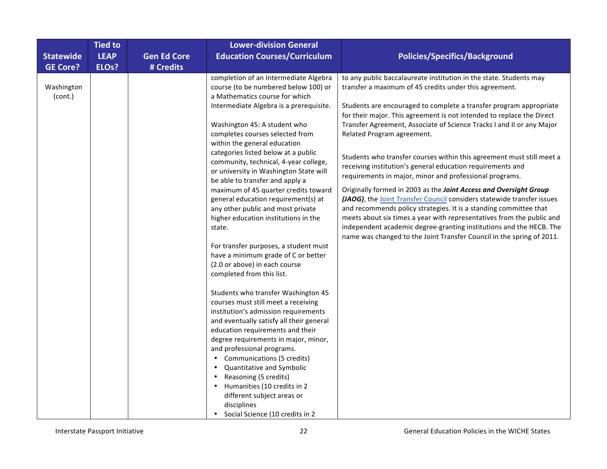|                                     | <b>Tied to</b>                    |                                 | <b>Lower-division General</b>                                                                                                                                                                      |                                                                                                                                                                                                                                                                                                                                                                                                                                           |
|-------------------------------------|-----------------------------------|---------------------------------|----------------------------------------------------------------------------------------------------------------------------------------------------------------------------------------------------|-------------------------------------------------------------------------------------------------------------------------------------------------------------------------------------------------------------------------------------------------------------------------------------------------------------------------------------------------------------------------------------------------------------------------------------------|
| <b>Statewide</b><br><b>GE Core?</b> | <b>LEAP</b><br>ELO <sub>s</sub> ? | <b>Gen Ed Core</b><br># Credits | <b>Education Courses/Curriculum</b>                                                                                                                                                                | <b>Policies/Specifics/Background</b>                                                                                                                                                                                                                                                                                                                                                                                                      |
| Washington<br>(cont.)               |                                   |                                 | completion of an Intermediate Algebra<br>course (to be numbered below 100) or<br>a Mathematics course for which                                                                                    | to any public baccalaureate institution in the state. Students may<br>transfer a maximum of 45 credits under this agreement.                                                                                                                                                                                                                                                                                                              |
|                                     |                                   |                                 | Intermediate Algebra is a prerequisite.<br>Washington 45: A student who                                                                                                                            | Students are encouraged to complete a transfer program appropriate<br>for their major. This agreement is not intended to replace the Direct<br>Transfer Agreement, Associate of Science Tracks I and II or any Major                                                                                                                                                                                                                      |
|                                     |                                   |                                 | completes courses selected from<br>within the general education                                                                                                                                    | Related Program agreement.                                                                                                                                                                                                                                                                                                                                                                                                                |
|                                     |                                   |                                 | categories listed below at a public<br>community, technical, 4-year college,<br>or university in Washington State will<br>be able to transfer and apply a                                          | Students who transfer courses within this agreement must still meet a<br>receiving institution's general education requirements and<br>requirements in major, minor and professional programs.                                                                                                                                                                                                                                            |
|                                     |                                   |                                 | maximum of 45 quarter credits toward<br>general education requirement(s) at<br>any other public and most private<br>higher education institutions in the<br>state.                                 | Originally formed in 2003 as the Joint Access and Oversight Group<br>(JAOG), the Joint Transfer Council considers statewide transfer issues<br>and recommends policy strategies. It is a standing committee that<br>meets about six times a year with representatives from the public and<br>independent academic degree-granting institutions and the HECB. The<br>name was changed to the Joint Transfer Council in the spring of 2011. |
|                                     |                                   |                                 | For transfer purposes, a student must<br>have a minimum grade of C or better<br>(2.0 or above) in each course<br>completed from this list.                                                         |                                                                                                                                                                                                                                                                                                                                                                                                                                           |
|                                     |                                   |                                 | Students who transfer Washington 45<br>courses must still meet a receiving<br>institution's admission requirements<br>and eventually satisfy all their general<br>education requirements and their |                                                                                                                                                                                                                                                                                                                                                                                                                                           |
|                                     |                                   |                                 | degree requirements in major, minor,<br>and professional programs.<br>Communications (5 credits)<br>Quantitative and Symbolic<br>Reasoning (5 credits)<br>Humanities (10 credits in 2              |                                                                                                                                                                                                                                                                                                                                                                                                                                           |
|                                     |                                   |                                 | different subject areas or<br>disciplines<br>Social Science (10 credits in 2                                                                                                                       |                                                                                                                                                                                                                                                                                                                                                                                                                                           |